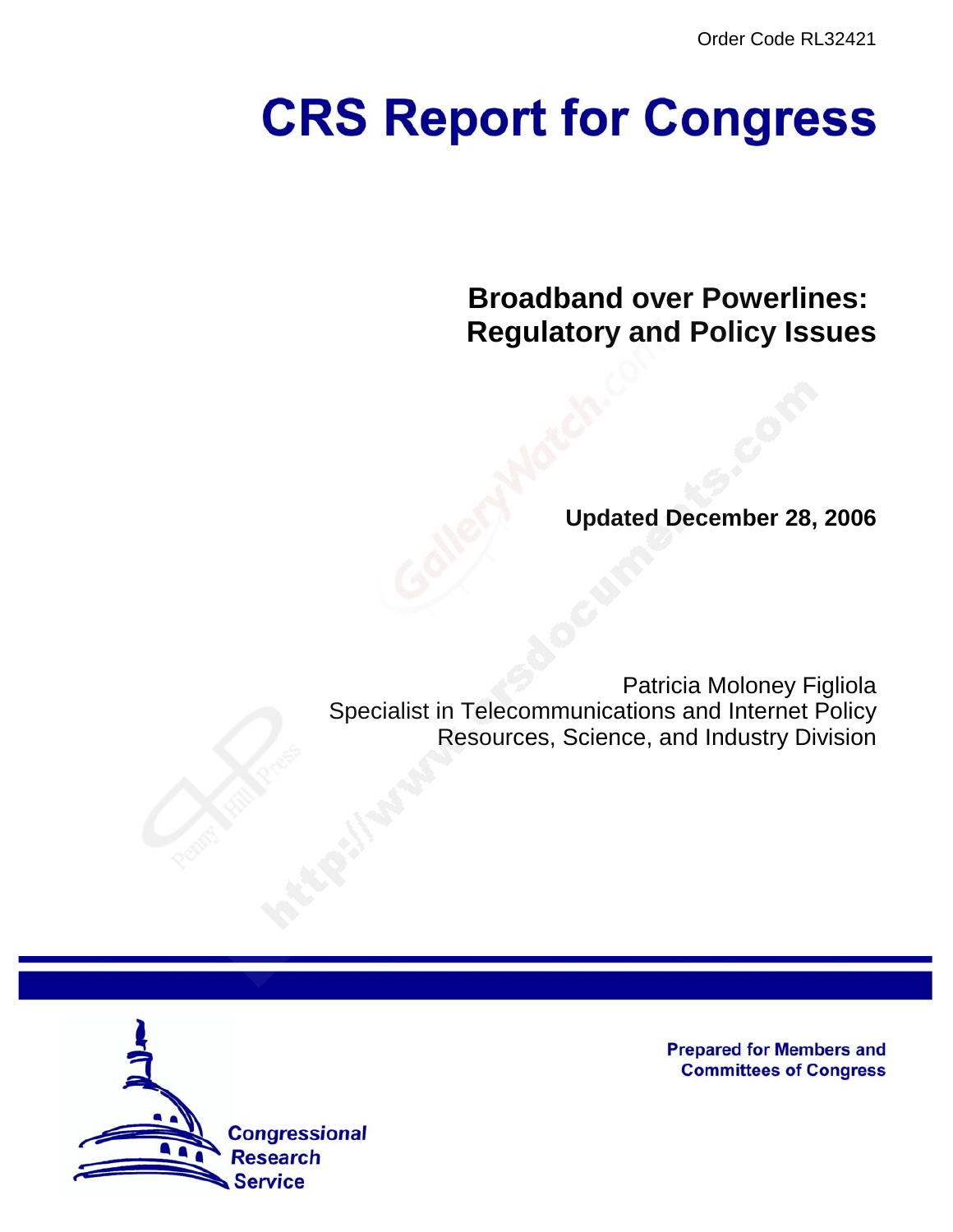# **CRS Report for Congress**

**Broadband over Powerlines: Regulatory and Policy Issues**

**Updated December 28, 2006**

Patricia Moloney Figliola Specialist in Telecommunications and Internet Policy Resources, Science, and Industry Division



**Prepared for Members and Committees of Congress**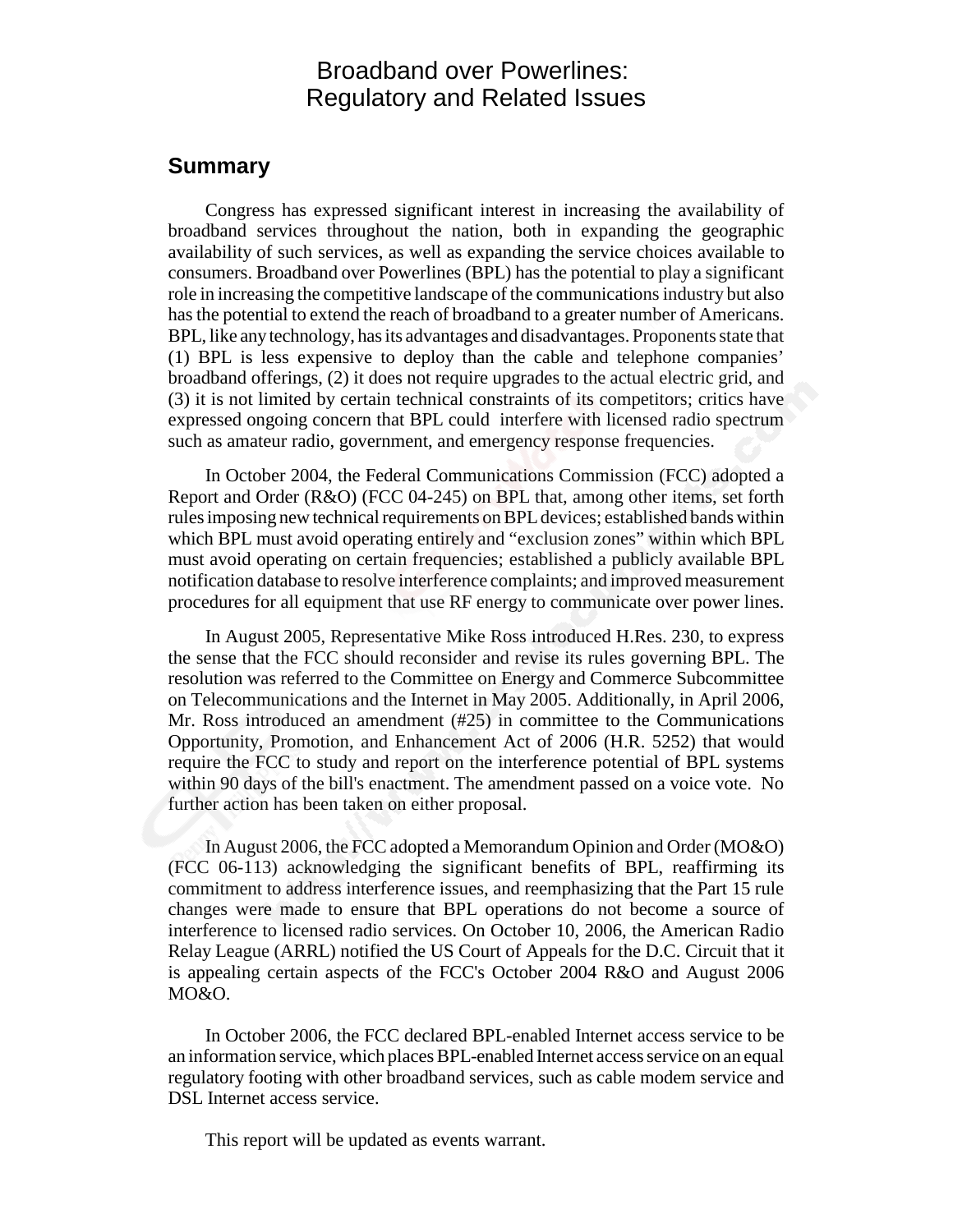# Broadband over Powerlines: Regulatory and Related Issues

#### **Summary**

Congress has expressed significant interest in increasing the availability of broadband services throughout the nation, both in expanding the geographic availability of such services, as well as expanding the service choices available to consumers. Broadband over Powerlines (BPL) has the potential to play a significant role in increasing the competitive landscape of the communications industry but also has the potential to extend the reach of broadband to a greater number of Americans. BPL, like any technology, has its advantages and disadvantages. Proponents state that (1) BPL is less expensive to deploy than the cable and telephone companies' broadband offerings, (2) it does not require upgrades to the actual electric grid, and (3) it is not limited by certain technical constraints of its competitors; critics have expressed ongoing concern that BPL could interfere with licensed radio spectrum such as amateur radio, government, and emergency response frequencies.

In October 2004, the Federal Communications Commission (FCC) adopted a Report and Order (R&O) (FCC 04-245) on BPL that, among other items, set forth rules imposing new technical requirements on BPL devices; established bands within which BPL must avoid operating entirely and "exclusion zones" within which BPL must avoid operating on certain frequencies; established a publicly available BPL notification database to resolve interference complaints; and improved measurement procedures for all equipment that use RF energy to communicate over power lines.

In August 2005, Representative Mike Ross introduced H.Res. 230, to express the sense that the FCC should reconsider and revise its rules governing BPL. The resolution was referred to the Committee on Energy and Commerce Subcommittee on Telecommunications and the Internet in May 2005. Additionally, in April 2006, Mr. Ross introduced an amendment (#25) in committee to the Communications Opportunity, Promotion, and Enhancement Act of 2006 (H.R. 5252) that would require the FCC to study and report on the interference potential of BPL systems within 90 days of the bill's enactment. The amendment passed on a voice vote. No further action has been taken on either proposal.

In August 2006, the FCC adopted a Memorandum Opinion and Order (MO&O) (FCC 06-113) acknowledging the significant benefits of BPL, reaffirming its commitment to address interference issues, and reemphasizing that the Part 15 rule changes were made to ensure that BPL operations do not become a source of interference to licensed radio services. On October 10, 2006, the American Radio Relay League (ARRL) notified the US Court of Appeals for the D.C. Circuit that it is appealing certain aspects of the FCC's October 2004 R&O and August 2006 MO&O.

In October 2006, the FCC declared BPL-enabled Internet access service to be an information service, which places BPL-enabled Internet access service on an equal regulatory footing with other broadband services, such as cable modem service and DSL Internet access service.

This report will be updated as events warrant.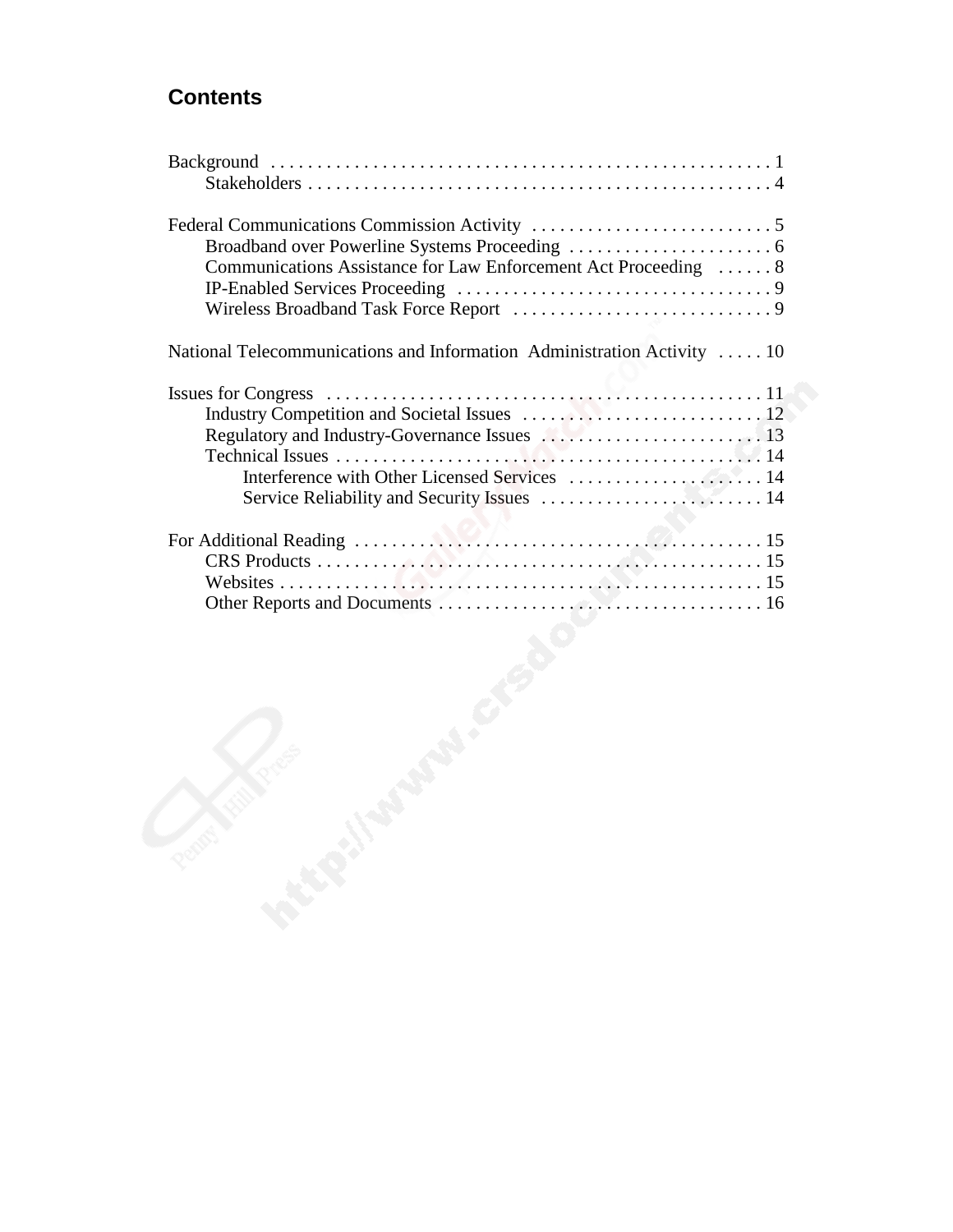# **Contents**

| Communications Assistance for Law Enforcement Act Proceeding  8         |
|-------------------------------------------------------------------------|
|                                                                         |
|                                                                         |
| National Telecommunications and Information Administration Activity  10 |
|                                                                         |
|                                                                         |
| Regulatory and Industry-Governance Issues  13                           |
|                                                                         |
| Interference with Other Licensed Services  14                           |
|                                                                         |
|                                                                         |
|                                                                         |
|                                                                         |
|                                                                         |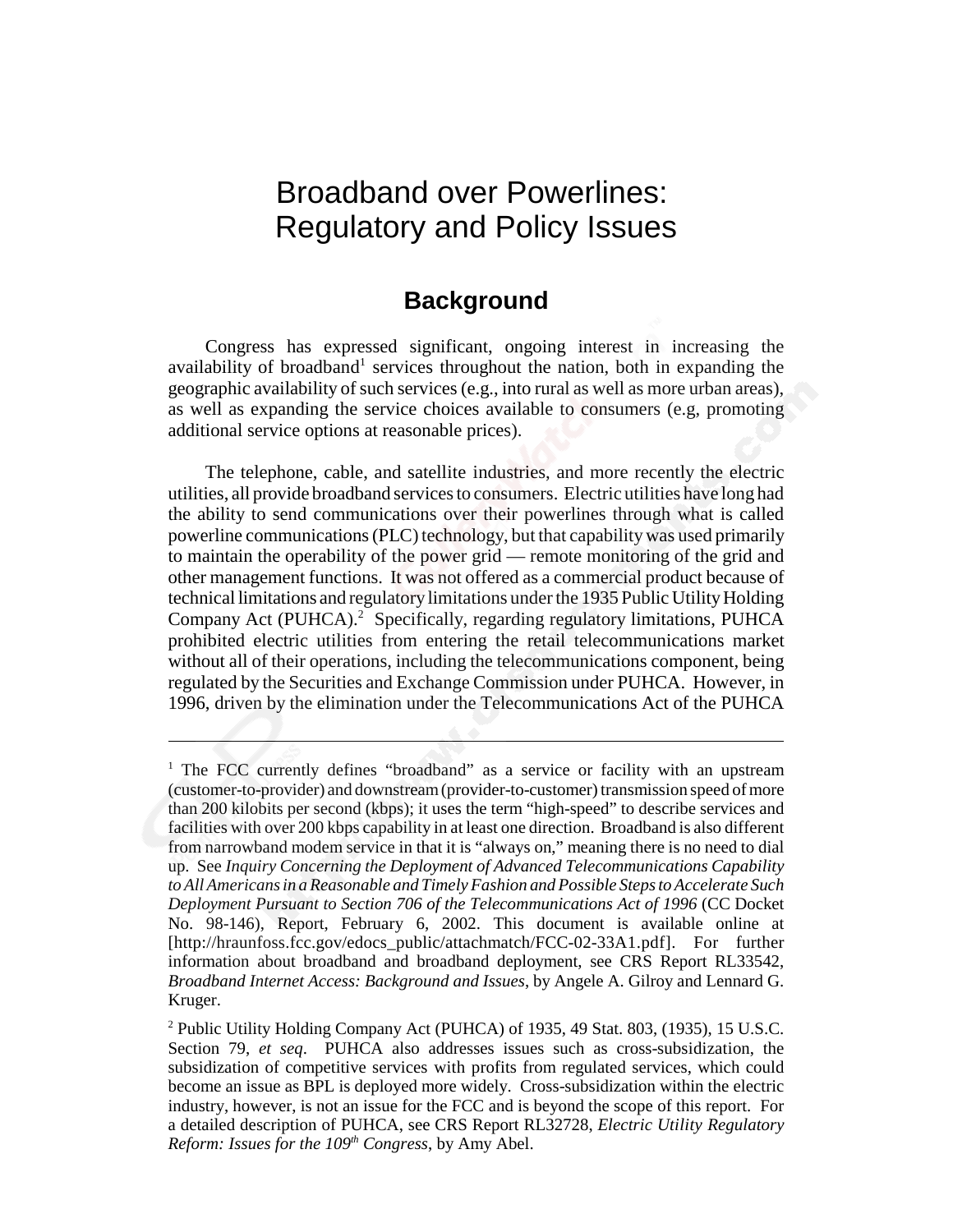# Broadband over Powerlines: Regulatory and Policy Issues

# **Background**

Congress has expressed significant, ongoing interest in increasing the availability of broadband<sup>1</sup> services throughout the nation, both in expanding the geographic availability of such services (e.g., into rural as well as more urban areas), as well as expanding the service choices available to consumers (e.g, promoting additional service options at reasonable prices).

The telephone, cable, and satellite industries, and more recently the electric utilities, all provide broadband services to consumers. Electric utilities have long had the ability to send communications over their powerlines through what is called powerline communications (PLC) technology, but that capability was used primarily to maintain the operability of the power grid — remote monitoring of the grid and other management functions. It was not offered as a commercial product because of technical limitations and regulatory limitations under the 1935 Public Utility Holding Company Act (PUHCA).<sup>2</sup> Specifically, regarding regulatory limitations, PUHCA prohibited electric utilities from entering the retail telecommunications market without all of their operations, including the telecommunications component, being regulated by the Securities and Exchange Commission under PUHCA. However, in 1996, driven by the elimination under the Telecommunications Act of the PUHCA

<sup>&</sup>lt;sup>1</sup> The FCC currently defines "broadband" as a service or facility with an upstream (customer-to-provider) and downstream (provider-to-customer) transmission speed of more than 200 kilobits per second (kbps); it uses the term "high-speed" to describe services and facilities with over 200 kbps capability in at least one direction. Broadband is also different from narrowband modem service in that it is "always on," meaning there is no need to dial up. See *Inquiry Concerning the Deployment of Advanced Telecommunications Capability to All Americans in a Reasonable and Timely Fashion and Possible Steps to Accelerate Such Deployment Pursuant to Section 706 of the Telecommunications Act of 1996* (CC Docket No. 98-146), Report, February 6, 2002. This document is available online at [http://hraunfoss.fcc.gov/edocs\_public/attachmatch/FCC-02-33A1.pdf]. For further information about broadband and broadband deployment, see CRS Report RL33542, *Broadband Internet Access: Background and Issues*, by Angele A. Gilroy and Lennard G. Kruger.

<sup>&</sup>lt;sup>2</sup> Public Utility Holding Company Act (PUHCA) of 1935, 49 Stat. 803, (1935), 15 U.S.C. Section 79, *et seq*. PUHCA also addresses issues such as cross-subsidization, the subsidization of competitive services with profits from regulated services, which could become an issue as BPL is deployed more widely. Cross-subsidization within the electric industry, however, is not an issue for the FCC and is beyond the scope of this report. For a detailed description of PUHCA, see CRS Report RL32728, *Electric Utility Regulatory Reform: Issues for the 109th Congress*, by Amy Abel.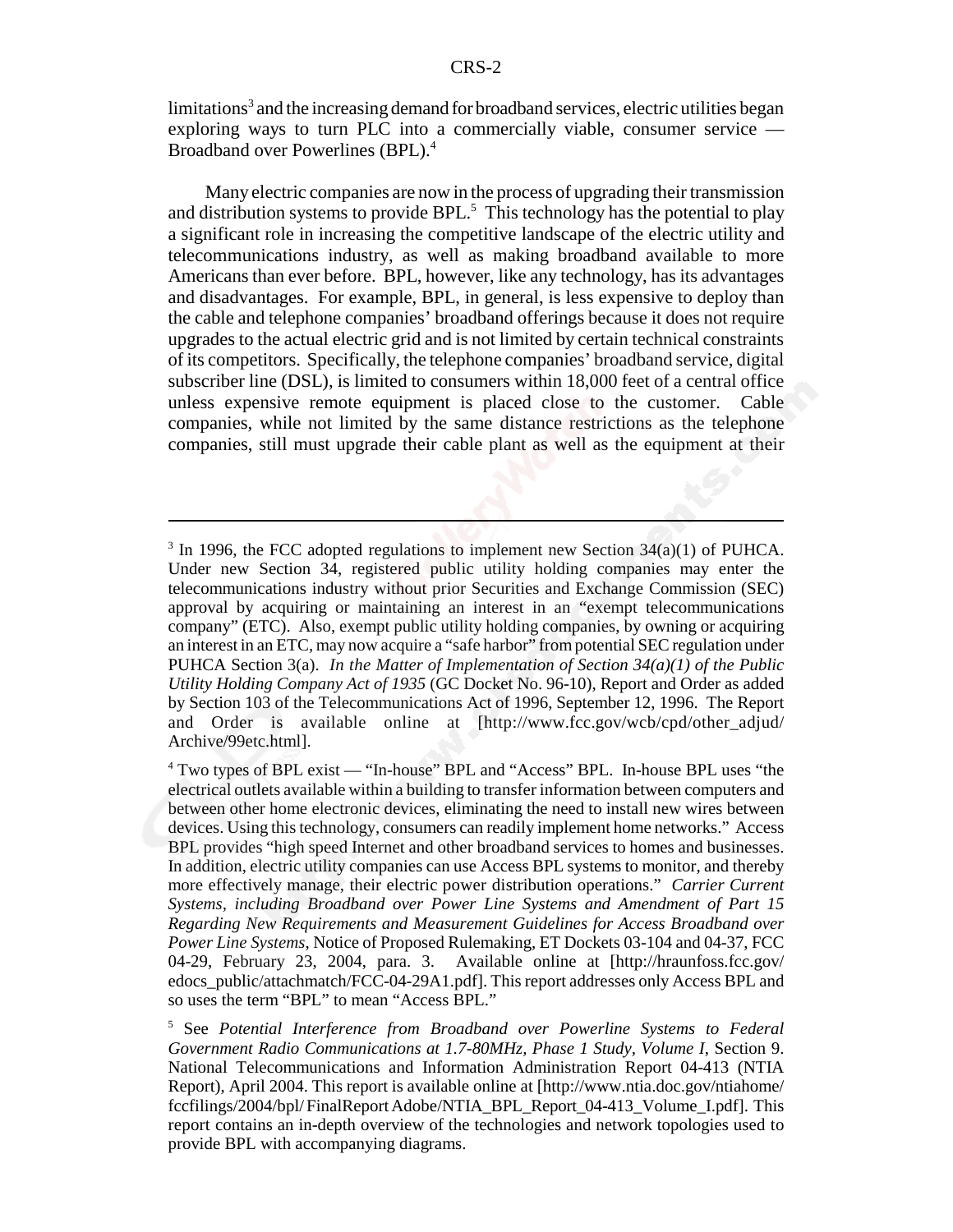limitations<sup>3</sup> and the increasing demand for broadband services, electric utilities began exploring ways to turn PLC into a commercially viable, consumer service — Broadband over Powerlines (BPL).<sup>4</sup>

Many electric companies are now in the process of upgrading their transmission and distribution systems to provide BPL.<sup>5</sup> This technology has the potential to play a significant role in increasing the competitive landscape of the electric utility and telecommunications industry, as well as making broadband available to more Americans than ever before. BPL, however, like any technology, has its advantages and disadvantages. For example, BPL, in general, is less expensive to deploy than the cable and telephone companies' broadband offerings because it does not require upgrades to the actual electric grid and is not limited by certain technical constraints of its competitors. Specifically, the telephone companies' broadband service, digital subscriber line (DSL), is limited to consumers within 18,000 feet of a central office unless expensive remote equipment is placed close to the customer. Cable companies, while not limited by the same distance restrictions as the telephone companies, still must upgrade their cable plant as well as the equipment at their

 $3$  In 1996, the FCC adopted regulations to implement new Section  $34(a)(1)$  of PUHCA. Under new Section 34, registered public utility holding companies may enter the telecommunications industry without prior Securities and Exchange Commission (SEC) approval by acquiring or maintaining an interest in an "exempt telecommunications company" (ETC). Also, exempt public utility holding companies, by owning or acquiring an interest in an ETC, may now acquire a "safe harbor" from potential SEC regulation under PUHCA Section 3(a). *In the Matter of Implementation of Section 34(a)(1) of the Public Utility Holding Company Act of 1935* (GC Docket No. 96-10), Report and Order as added by Section 103 of the Telecommunications Act of 1996, September 12, 1996. The Report and Order is available online at [http://www.fcc.gov/wcb/cpd/other\_adjud/ Archive/99etc.html].

<sup>&</sup>lt;sup>4</sup> Two types of BPL exist — "In-house" BPL and "Access" BPL. In-house BPL uses "the electrical outlets available within a building to transfer information between computers and between other home electronic devices, eliminating the need to install new wires between devices. Using this technology, consumers can readily implement home networks." Access BPL provides "high speed Internet and other broadband services to homes and businesses. In addition, electric utility companies can use Access BPL systems to monitor, and thereby more effectively manage, their electric power distribution operations." *Carrier Current Systems, including Broadband over Power Line Systems and Amendment of Part 15 Regarding New Requirements and Measurement Guidelines for Access Broadband over Power Line Systems*, Notice of Proposed Rulemaking, ET Dockets 03-104 and 04-37, FCC 04-29, February 23, 2004, para. 3. Available online at [http://hraunfoss.fcc.gov/ edocs\_public/attachmatch/FCC-04-29A1.pdf]. This report addresses only Access BPL and so uses the term "BPL" to mean "Access BPL."

<sup>5</sup> See *Potential Interference from Broadband over Powerline Systems to Federal Government Radio Communications at 1.7-80MHz, Phase 1 Study, Volume I*, Section 9. National Telecommunications and Information Administration Report 04-413 (NTIA Report), April 2004. This report is available online at [http://www.ntia.doc.gov/ntiahome/ fccfilings/2004/bpl/ FinalReport Adobe/NTIA\_BPL\_Report\_04-413\_Volume\_I.pdf]. This report contains an in-depth overview of the technologies and network topologies used to provide BPL with accompanying diagrams.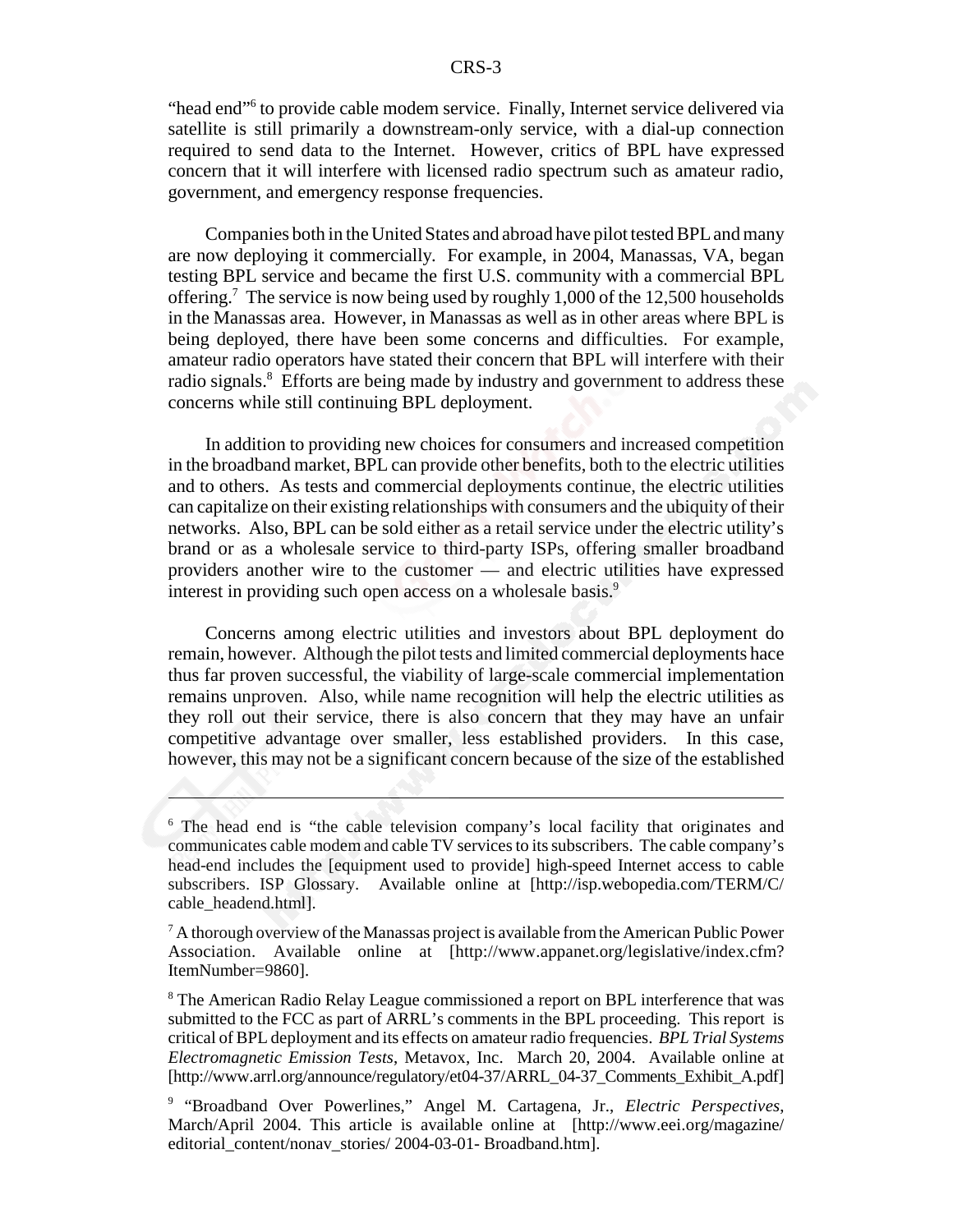"head end"<sup>6</sup> to provide cable modem service. Finally, Internet service delivered via satellite is still primarily a downstream-only service, with a dial-up connection required to send data to the Internet. However, critics of BPL have expressed concern that it will interfere with licensed radio spectrum such as amateur radio, government, and emergency response frequencies.

Companies both in the United States and abroad have pilot tested BPL and many are now deploying it commercially. For example, in 2004, Manassas, VA, began testing BPL service and became the first U.S. community with a commercial BPL offering.<sup>7</sup> The service is now being used by roughly 1,000 of the 12,500 households in the Manassas area. However, in Manassas as well as in other areas where BPL is being deployed, there have been some concerns and difficulties. For example, amateur radio operators have stated their concern that BPL will interfere with their radio signals.<sup>8</sup> Efforts are being made by industry and government to address these concerns while still continuing BPL deployment.

In addition to providing new choices for consumers and increased competition in the broadband market, BPL can provide other benefits, both to the electric utilities and to others. As tests and commercial deployments continue, the electric utilities can capitalize on their existing relationships with consumers and the ubiquity of their networks. Also, BPL can be sold either as a retail service under the electric utility's brand or as a wholesale service to third-party ISPs, offering smaller broadband providers another wire to the customer — and electric utilities have expressed interest in providing such open access on a wholesale basis.<sup>9</sup>

Concerns among electric utilities and investors about BPL deployment do remain, however. Although the pilot tests and limited commercial deployments hace thus far proven successful, the viability of large-scale commercial implementation remains unproven. Also, while name recognition will help the electric utilities as they roll out their service, there is also concern that they may have an unfair competitive advantage over smaller, less established providers. In this case, however, this may not be a significant concern because of the size of the established

<sup>&</sup>lt;sup>6</sup> The head end is "the cable television company's local facility that originates and communicates cable modem and cable TV services to its subscribers. The cable company's head-end includes the [equipment used to provide] high-speed Internet access to cable subscribers. ISP Glossary. Available online at [http://isp.webopedia.com/TERM/C/ cable\_headend.html].

 $<sup>7</sup>$  A thorough overview of the Manassas project is available from the American Public Power</sup> Association. Available online at [http://www.appanet.org/legislative/index.cfm? ItemNumber=9860].

<sup>&</sup>lt;sup>8</sup> The American Radio Relay League commissioned a report on BPL interference that was submitted to the FCC as part of ARRL's comments in the BPL proceeding. This report is critical of BPL deployment and its effects on amateur radio frequencies. *BPL Trial Systems Electromagnetic Emission Tests*, Metavox, Inc. March 20, 2004. Available online at [http://www.arrl.org/announce/regulatory/et04-37/ARRL\_04-37\_Comments\_Exhibit\_A.pdf]

<sup>9</sup> "Broadband Over Powerlines," Angel M. Cartagena, Jr., *Electric Perspectives*, March/April 2004. This article is available online at [http://www.eei.org/magazine/ editorial\_content/nonav\_stories/ 2004-03-01- Broadband.htm].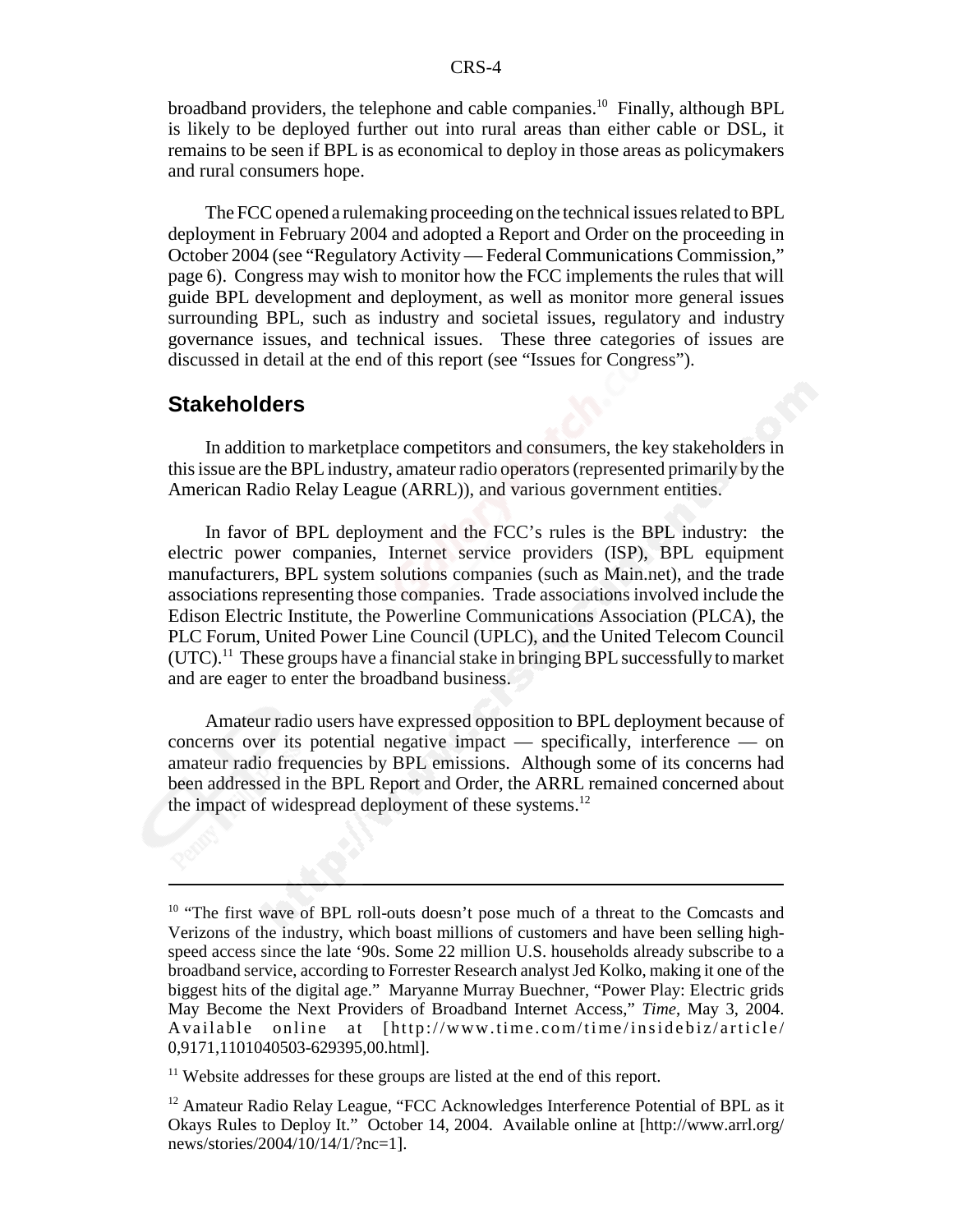broadband providers, the telephone and cable companies.<sup>10</sup> Finally, although BPL is likely to be deployed further out into rural areas than either cable or DSL, it remains to be seen if BPL is as economical to deploy in those areas as policymakers and rural consumers hope.

The FCC opened a rulemaking proceeding on the technical issues related to BPL deployment in February 2004 and adopted a Report and Order on the proceeding in October 2004 (see "Regulatory Activity — Federal Communications Commission," page 6). Congress may wish to monitor how the FCC implements the rules that will guide BPL development and deployment, as well as monitor more general issues surrounding BPL, such as industry and societal issues, regulatory and industry governance issues, and technical issues. These three categories of issues are discussed in detail at the end of this report (see "Issues for Congress").

#### **Stakeholders**

In addition to marketplace competitors and consumers, the key stakeholders in this issue are the BPL industry, amateur radio operators (represented primarily by the American Radio Relay League (ARRL)), and various government entities.

In favor of BPL deployment and the FCC's rules is the BPL industry: the electric power companies, Internet service providers (ISP), BPL equipment manufacturers, BPL system solutions companies (such as Main.net), and the trade associations representing those companies. Trade associations involved include the Edison Electric Institute, the Powerline Communications Association (PLCA), the PLC Forum, United Power Line Council (UPLC), and the United Telecom Council  $(UTC)^{11}$ . These groups have a financial stake in bringing BPL successfully to market and are eager to enter the broadband business.

Amateur radio users have expressed opposition to BPL deployment because of concerns over its potential negative impact — specifically, interference — on amateur radio frequencies by BPL emissions. Although some of its concerns had been addressed in the BPL Report and Order, the ARRL remained concerned about the impact of widespread deployment of these systems.<sup>12</sup>

<sup>11</sup> Website addresses for these groups are listed at the end of this report.

<sup>&</sup>lt;sup>10</sup> "The first wave of BPL roll-outs doesn't pose much of a threat to the Comcasts and Verizons of the industry, which boast millions of customers and have been selling highspeed access since the late '90s. Some 22 million U.S. households already subscribe to a broadband service, according to Forrester Research analyst Jed Kolko, making it one of the biggest hits of the digital age." Maryanne Murray Buechner, "Power Play: Electric grids May Become the Next Providers of Broadband Internet Access," *Time*, May 3, 2004. Available online at [http://www.time.com/time/insidebiz/article/ 0,9171,1101040503-629395,00.html].

<sup>&</sup>lt;sup>12</sup> Amateur Radio Relay League, "FCC Acknowledges Interference Potential of BPL as it Okays Rules to Deploy It." October 14, 2004. Available online at [http://www.arrl.org/ news/stories/2004/10/14/1/?nc=1].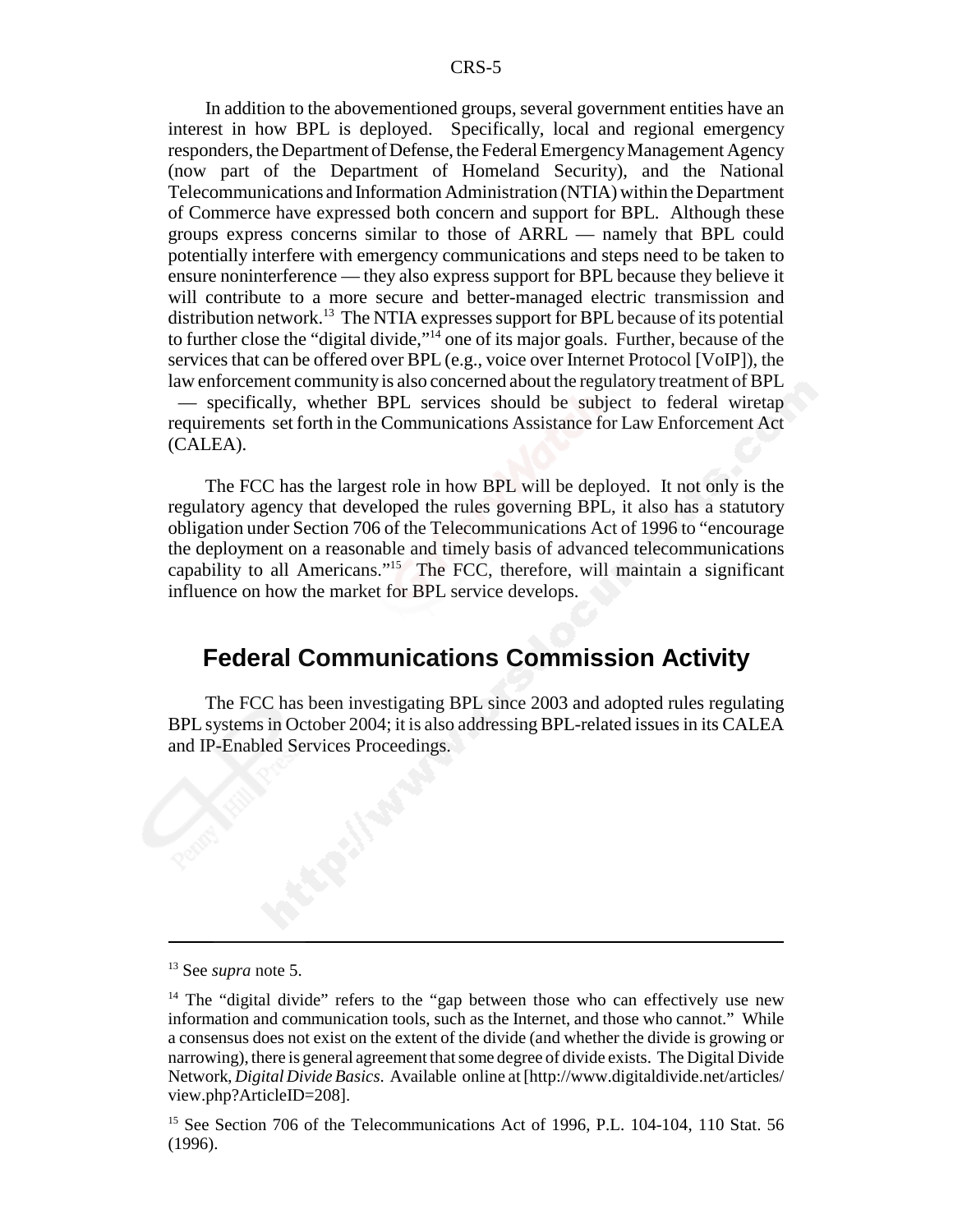In addition to the abovementioned groups, several government entities have an interest in how BPL is deployed. Specifically, local and regional emergency responders, the Department of Defense, the Federal Emergency Management Agency (now part of the Department of Homeland Security), and the National Telecommunications and Information Administration (NTIA) within the Department of Commerce have expressed both concern and support for BPL. Although these groups express concerns similar to those of ARRL — namely that BPL could potentially interfere with emergency communications and steps need to be taken to ensure noninterference — they also express support for BPL because they believe it will contribute to a more secure and better-managed electric transmission and distribution network.<sup>13</sup> The NTIA expresses support for BPL because of its potential to further close the "digital divide,"14 one of its major goals. Further, because of the services that can be offered over BPL (e.g., voice over Internet Protocol [VoIP]), the law enforcement community is also concerned about the regulatory treatment of BPL — specifically, whether BPL services should be subject to federal wiretap requirements set forth in the Communications Assistance for Law Enforcement Act (CALEA).

The FCC has the largest role in how BPL will be deployed. It not only is the regulatory agency that developed the rules governing BPL, it also has a statutory obligation under Section 706 of the Telecommunications Act of 1996 to "encourage the deployment on a reasonable and timely basis of advanced telecommunications capability to all Americans."15 The FCC, therefore, will maintain a significant influence on how the market for BPL service develops.

# **Federal Communications Commission Activity**

The FCC has been investigating BPL since 2003 and adopted rules regulating BPL systems in October 2004; it is also addressing BPL-related issues in its CALEA and IP-Enabled Services Proceedings.

<sup>13</sup> See *supra* note 5.

 $14$  The "digital divide" refers to the "gap between those who can effectively use new information and communication tools, such as the Internet, and those who cannot." While a consensus does not exist on the extent of the divide (and whether the divide is growing or narrowing), there is general agreement that some degree of divide exists. The Digital Divide Network, *Digital Divide Basics*. Available online at [http://www.digitaldivide.net/articles/ view.php?ArticleID=208].

<sup>&</sup>lt;sup>15</sup> See Section 706 of the Telecommunications Act of 1996, P.L. 104-104, 110 Stat. 56 (1996).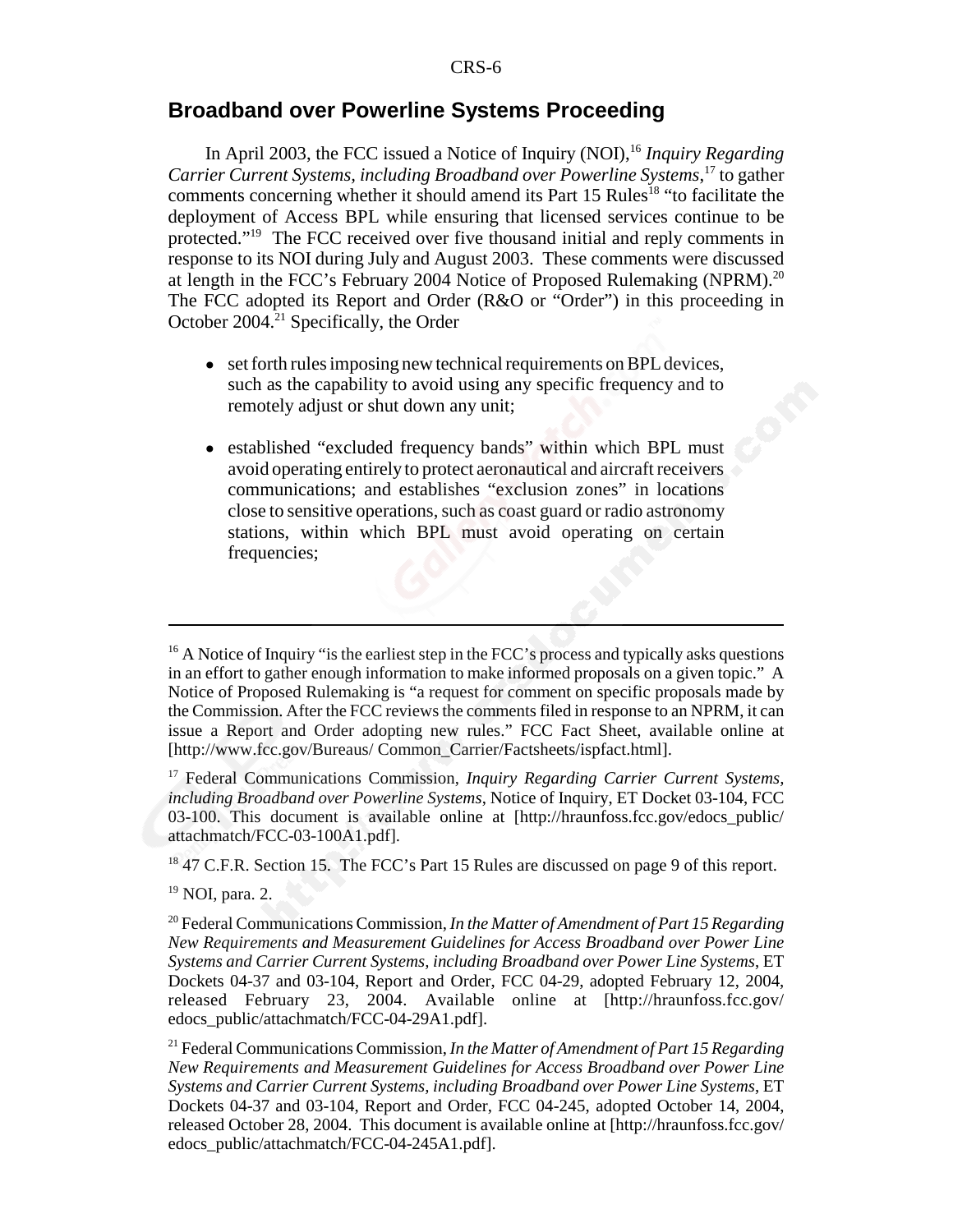#### **Broadband over Powerline Systems Proceeding**

In April 2003, the FCC issued a Notice of Inquiry (NOI),<sup>16</sup> *Inquiry Regarding Carrier Current Systems, including Broadband over Powerline Systems*, 17 to gather comments concerning whether it should amend its Part 15 Rules<sup>18</sup> "to facilitate the deployment of Access BPL while ensuring that licensed services continue to be protected."19 The FCC received over five thousand initial and reply comments in response to its NOI during July and August 2003. These comments were discussed at length in the FCC's February 2004 Notice of Proposed Rulemaking (NPRM).<sup>20</sup> The FCC adopted its Report and Order (R&O or "Order") in this proceeding in October  $2004$ <sup>21</sup> Specifically, the Order

- set forth rules imposing new technical requirements on BPL devices, such as the capability to avoid using any specific frequency and to remotely adjust or shut down any unit;
- established "excluded frequency bands" within which BPL must avoid operating entirely to protect aeronautical and aircraft receivers communications; and establishes "exclusion zones" in locations close to sensitive operations, such as coast guard or radio astronomy stations, within which BPL must avoid operating on certain frequencies;

 $19$  NOI, para. 2.

 $16$  A Notice of Inquiry "is the earliest step in the FCC's process and typically asks questions in an effort to gather enough information to make informed proposals on a given topic." A Notice of Proposed Rulemaking is "a request for comment on specific proposals made by the Commission. After the FCC reviews the comments filed in response to an NPRM, it can issue a Report and Order adopting new rules." FCC Fact Sheet, available online at [http://www.fcc.gov/Bureaus/ Common\_Carrier/Factsheets/ispfact.html].

<sup>17</sup> Federal Communications Commission, *Inquiry Regarding Carrier Current Systems, including Broadband over Powerline Systems*, Notice of Inquiry, ET Docket 03-104, FCC 03-100. This document is available online at [http://hraunfoss.fcc.gov/edocs\_public/ attachmatch/FCC-03-100A1.pdf].

<sup>&</sup>lt;sup>18</sup> 47 C.F.R. Section 15. The FCC's Part 15 Rules are discussed on page 9 of this report.

<sup>20</sup> Federal Communications Commission, *In the Matter of Amendment of Part 15 Regarding New Requirements and Measurement Guidelines for Access Broadband over Power Line Systems and Carrier Current Systems, including Broadband over Power Line Systems*, ET Dockets 04-37 and 03-104, Report and Order, FCC 04-29, adopted February 12, 2004, released February 23, 2004. Available online at [http://hraunfoss.fcc.gov/ edocs\_public/attachmatch/FCC-04-29A1.pdf].

<sup>21</sup> Federal Communications Commission, *In the Matter of Amendment of Part 15 Regarding New Requirements and Measurement Guidelines for Access Broadband over Power Line Systems and Carrier Current Systems, including Broadband over Power Line Systems*, ET Dockets 04-37 and 03-104, Report and Order, FCC 04-245, adopted October 14, 2004, released October 28, 2004. This document is available online at [http://hraunfoss.fcc.gov/ edocs\_public/attachmatch/FCC-04-245A1.pdf].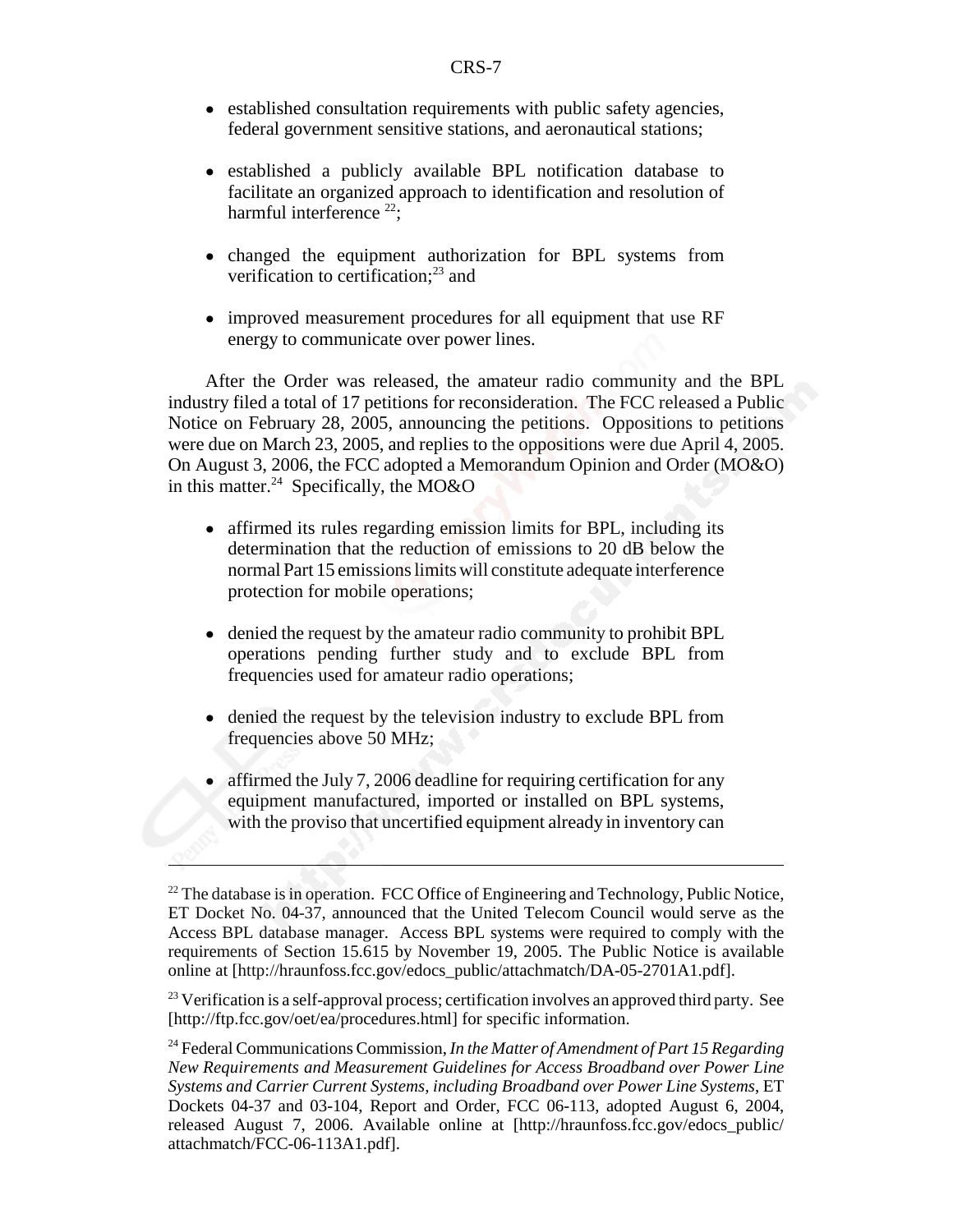- established consultation requirements with public safety agencies, federal government sensitive stations, and aeronautical stations;
- ! established a publicly available BPL notification database to facilitate an organized approach to identification and resolution of harmful interference  $^{22}$ ;
- ! changed the equipment authorization for BPL systems from verification to certification:<sup>23</sup> and
- improved measurement procedures for all equipment that use RF energy to communicate over power lines.

After the Order was released, the amateur radio community and the BPL industry filed a total of 17 petitions for reconsideration. The FCC released a Public Notice on February 28, 2005, announcing the petitions. Oppositions to petitions were due on March 23, 2005, and replies to the oppositions were due April 4, 2005. On August 3, 2006, the FCC adopted a Memorandum Opinion and Order (MO&O) in this matter.<sup>24</sup> Specifically, the MO&O

- affirmed its rules regarding emission limits for BPL, including its determination that the reduction of emissions to 20 dB below the normal Part 15 emissions limits will constitute adequate interference protection for mobile operations;
- denied the request by the amateur radio community to prohibit BPL operations pending further study and to exclude BPL from frequencies used for amateur radio operations;
- denied the request by the television industry to exclude BPL from frequencies above 50 MHz;
- ! affirmed the July 7, 2006 deadline for requiring certification for any equipment manufactured, imported or installed on BPL systems, with the proviso that uncertified equipment already in inventory can

 $^{22}$  The database is in operation. FCC Office of Engineering and Technology, Public Notice, ET Docket No. 04-37, announced that the United Telecom Council would serve as the Access BPL database manager. Access BPL systems were required to comply with the requirements of Section 15.615 by November 19, 2005. The Public Notice is available online at [http://hraunfoss.fcc.gov/edocs\_public/attachmatch/DA-05-2701A1.pdf].

<sup>&</sup>lt;sup>23</sup> Verification is a self-approval process; certification involves an approved third party. See [http://ftp.fcc.gov/oet/ea/procedures.html] for specific information.

<sup>24</sup> Federal Communications Commission, *In the Matter of Amendment of Part 15 Regarding New Requirements and Measurement Guidelines for Access Broadband over Power Line Systems and Carrier Current Systems, including Broadband over Power Line Systems*, ET Dockets 04-37 and 03-104, Report and Order, FCC 06-113, adopted August 6, 2004, released August 7, 2006. Available online at [http://hraunfoss.fcc.gov/edocs\_public/ attachmatch/FCC-06-113A1.pdf].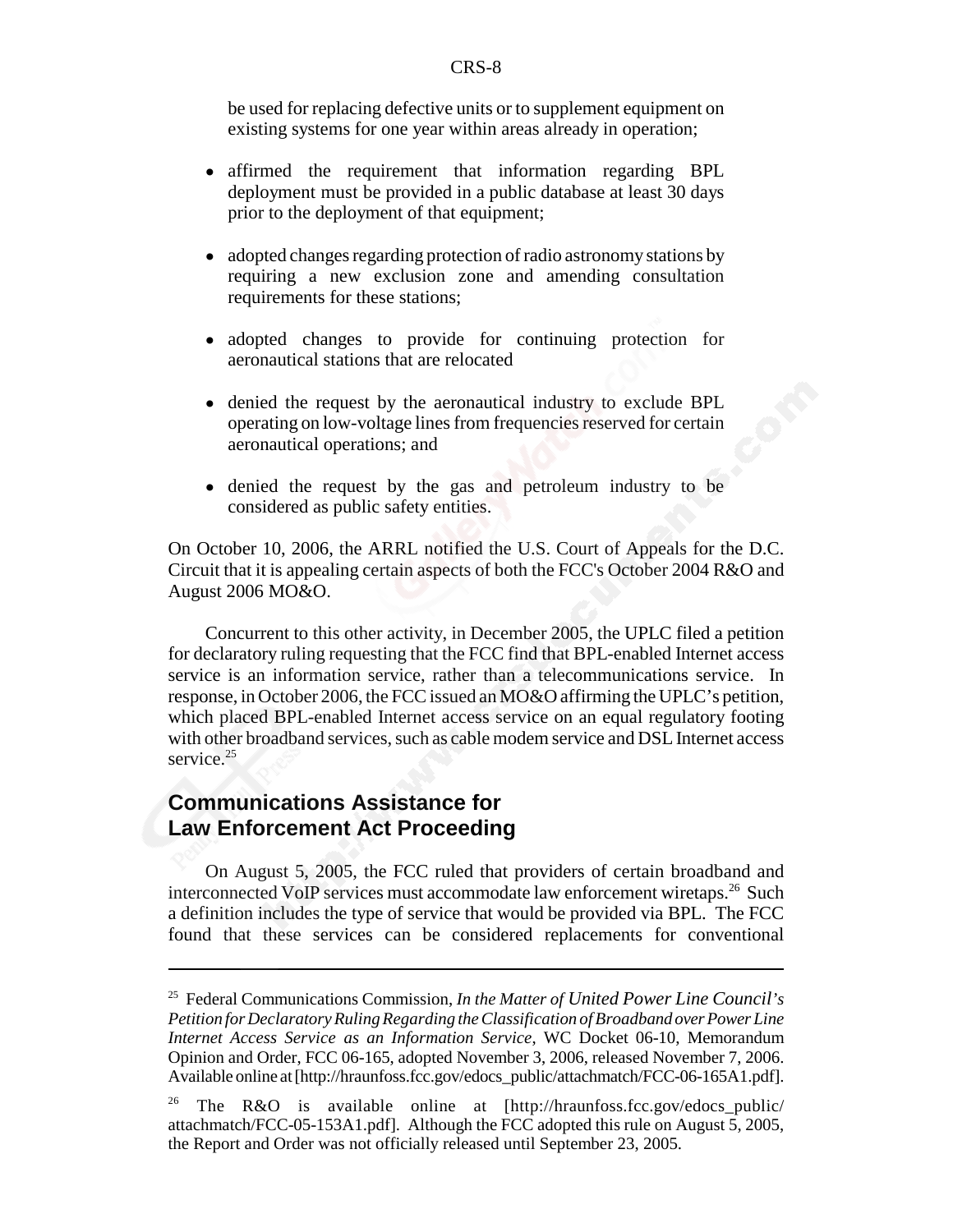be used for replacing defective units or to supplement equipment on existing systems for one year within areas already in operation;

- ! affirmed the requirement that information regarding BPL deployment must be provided in a public database at least 30 days prior to the deployment of that equipment;
- adopted changes regarding protection of radio astronomy stations by requiring a new exclusion zone and amending consultation requirements for these stations;
- ! adopted changes to provide for continuing protection for aeronautical stations that are relocated
- denied the request by the aeronautical industry to exclude BPL operating on low-voltage lines from frequencies reserved for certain aeronautical operations; and
- ! denied the request by the gas and petroleum industry to be considered as public safety entities.

On October 10, 2006, the ARRL notified the U.S. Court of Appeals for the D.C. Circuit that it is appealing certain aspects of both the FCC's October 2004 R&O and August 2006 MO&O.

Concurrent to this other activity, in December 2005, the UPLC filed a petition for declaratory ruling requesting that the FCC find that BPL-enabled Internet access service is an information service, rather than a telecommunications service. In response, in October 2006, the FCC issued an MO&O affirming the UPLC's petition, which placed BPL-enabled Internet access service on an equal regulatory footing with other broadband services, such as cable modem service and DSL Internet access service.<sup>25</sup>

### **Communications Assistance for Law Enforcement Act Proceeding**

On August 5, 2005, the FCC ruled that providers of certain broadband and interconnected VoIP services must accommodate law enforcement wiretaps.<sup>26</sup> Such a definition includes the type of service that would be provided via BPL. The FCC found that these services can be considered replacements for conventional

<sup>25</sup> Federal Communications Commission, *In the Matter of United Power Line Council's Petition for Declaratory Ruling Regarding the Classification of Broadband over Power Line Internet Access Service as an Information Service*, WC Docket 06-10, Memorandum Opinion and Order, FCC 06-165, adopted November 3, 2006, released November 7, 2006. Available online at [http://hraunfoss.fcc.gov/edocs\_public/attachmatch/FCC-06-165A1.pdf].

<sup>&</sup>lt;sup>26</sup> The R&O is available online at [http://hraunfoss.fcc.gov/edocs\_public/ attachmatch/FCC-05-153A1.pdf. Although the FCC adopted this rule on August  $\overline{5}$ , 2005, the Report and Order was not officially released until September 23, 2005.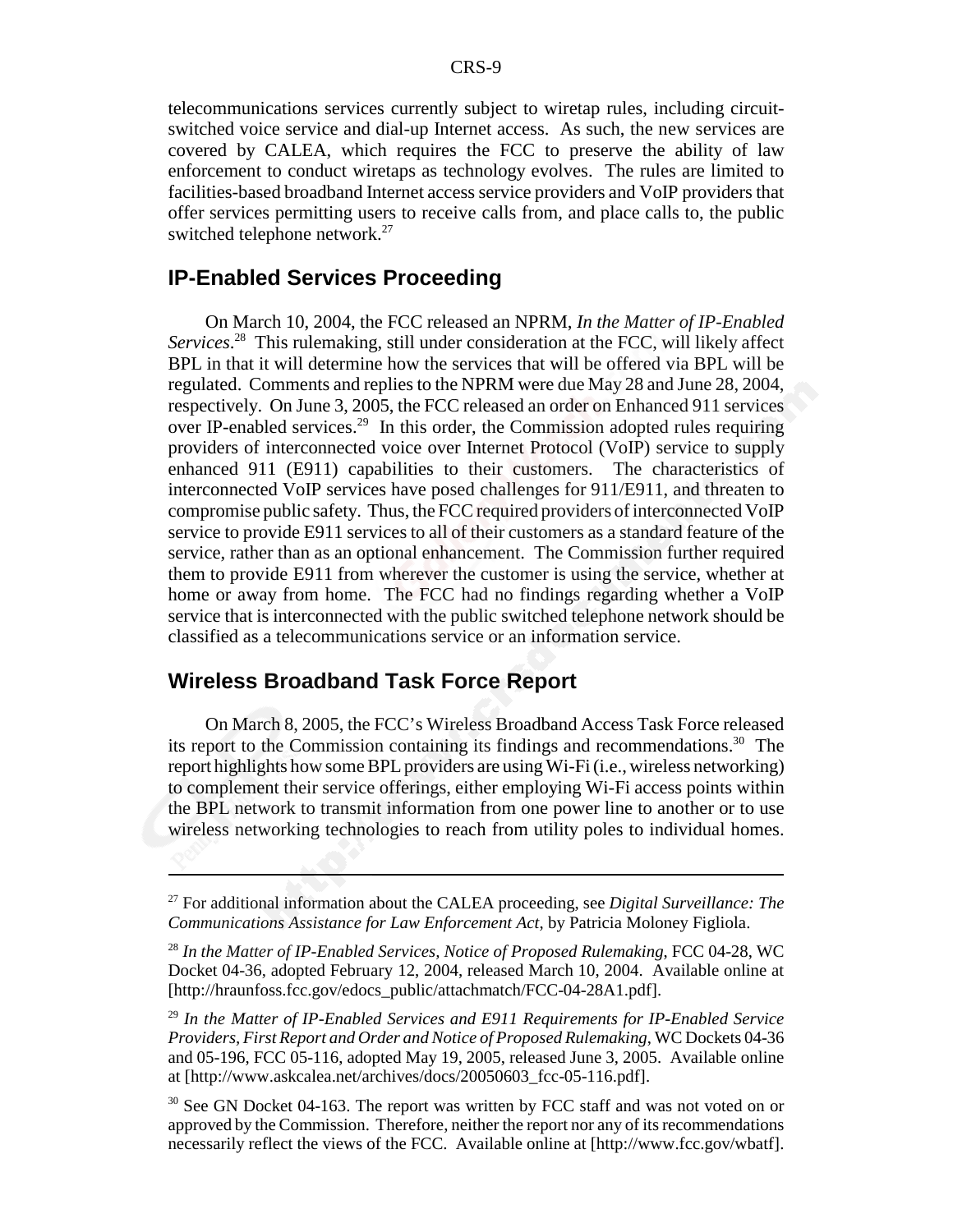telecommunications services currently subject to wiretap rules, including circuitswitched voice service and dial-up Internet access. As such, the new services are covered by CALEA, which requires the FCC to preserve the ability of law enforcement to conduct wiretaps as technology evolves. The rules are limited to facilities-based broadband Internet access service providers and VoIP providers that offer services permitting users to receive calls from, and place calls to, the public switched telephone network.<sup>27</sup>

# **IP-Enabled Services Proceeding**

On March 10, 2004, the FCC released an NPRM, *In the Matter of IP-Enabled Services*. 28 This rulemaking, still under consideration at the FCC, will likely affect BPL in that it will determine how the services that will be offered via BPL will be regulated. Comments and replies to the NPRM were due May 28 and June 28, 2004, respectively. On June 3, 2005, the FCC released an order on Enhanced 911 services over IP-enabled services.<sup>29</sup> In this order, the Commission adopted rules requiring providers of interconnected voice over Internet Protocol (VoIP) service to supply enhanced 911 (E911) capabilities to their customers. The characteristics of interconnected VoIP services have posed challenges for 911/E911, and threaten to compromise public safety. Thus, the FCC required providers of interconnected VoIP service to provide E911 services to all of their customers as a standard feature of the service, rather than as an optional enhancement. The Commission further required them to provide E911 from wherever the customer is using the service, whether at home or away from home. The FCC had no findings regarding whether a VoIP service that is interconnected with the public switched telephone network should be classified as a telecommunications service or an information service.

#### **Wireless Broadband Task Force Report**

On March 8, 2005, the FCC's Wireless Broadband Access Task Force released its report to the Commission containing its findings and recommendations.<sup>30</sup> The report highlights how some BPL providers are using Wi-Fi (i.e., wireless networking) to complement their service offerings, either employing Wi-Fi access points within the BPL network to transmit information from one power line to another or to use wireless networking technologies to reach from utility poles to individual homes.

<sup>27</sup> For additional information about the CALEA proceeding, see *Digital Surveillance: The Communications Assistance for Law Enforcement Act*, by Patricia Moloney Figliola.

<sup>28</sup> *In the Matter of IP-Enabled Services, Notice of Proposed Rulemaking*, FCC 04-28, WC Docket 04-36, adopted February 12, 2004, released March 10, 2004. Available online at [http://hraunfoss.fcc.gov/edocs\_public/attachmatch/FCC-04-28A1.pdf].

<sup>29</sup> *In the Matter of IP-Enabled Services and E911 Requirements for IP-Enabled Service Providers, First Report and Order and Notice of Proposed Rulemaking*, WC Dockets 04-36 and 05-196, FCC 05-116, adopted May 19, 2005, released June 3, 2005. Available online at [http://www.askcalea.net/archives/docs/20050603\_fcc-05-116.pdf].

<sup>&</sup>lt;sup>30</sup> See GN Docket 04-163. The report was written by FCC staff and was not voted on or approved by the Commission. Therefore, neither the report nor any of its recommendations necessarily reflect the views of the FCC. Available online at [http://www.fcc.gov/wbatf].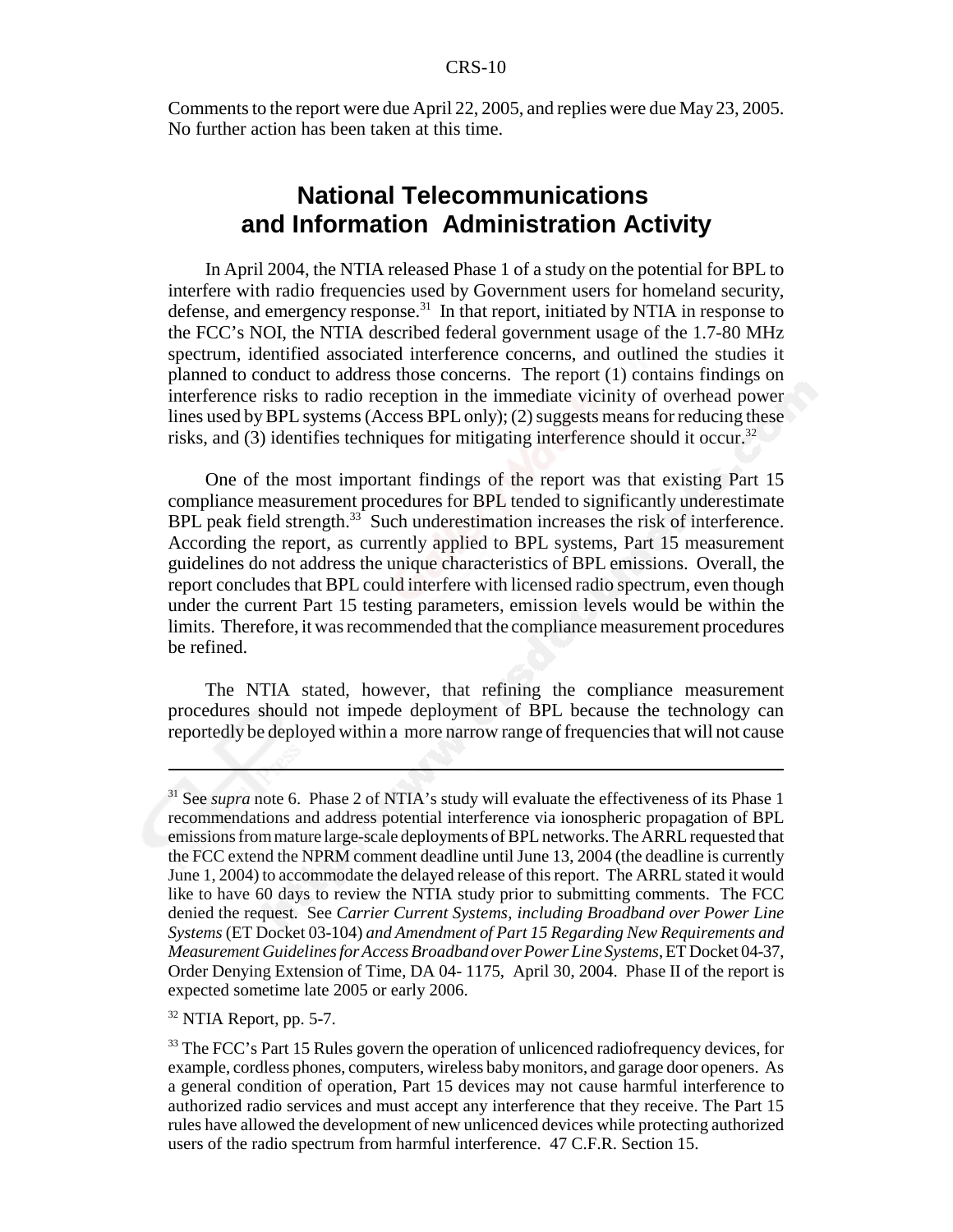Comments to the report were due April 22, 2005, and replies were due May 23, 2005. No further action has been taken at this time.

# **National Telecommunications and Information Administration Activity**

In April 2004, the NTIA released Phase 1 of a study on the potential for BPL to interfere with radio frequencies used by Government users for homeland security, defense, and emergency response.<sup>31</sup> In that report, initiated by NTIA in response to the FCC's NOI, the NTIA described federal government usage of the 1.7-80 MHz spectrum, identified associated interference concerns, and outlined the studies it planned to conduct to address those concerns. The report (1) contains findings on interference risks to radio reception in the immediate vicinity of overhead power lines used by BPL systems (Access BPL only); (2) suggests means for reducing these risks, and (3) identifies techniques for mitigating interference should it occur.<sup>32</sup>

One of the most important findings of the report was that existing Part 15 compliance measurement procedures for BPL tended to significantly underestimate  $BPL$  peak field strength.<sup>33</sup> Such underestimation increases the risk of interference. According the report, as currently applied to BPL systems, Part 15 measurement guidelines do not address the unique characteristics of BPL emissions. Overall, the report concludes that BPL could interfere with licensed radio spectrum, even though under the current Part 15 testing parameters, emission levels would be within the limits. Therefore, it was recommended that the compliance measurement procedures be refined.

The NTIA stated, however, that refining the compliance measurement procedures should not impede deployment of BPL because the technology can reportedly be deployed within a more narrow range of frequencies that will not cause

<sup>31</sup> See *supra* note 6. Phase 2 of NTIA's study will evaluate the effectiveness of its Phase 1 recommendations and address potential interference via ionospheric propagation of BPL emissions from mature large-scale deployments of BPL networks. The ARRL requested that the FCC extend the NPRM comment deadline until June 13, 2004 (the deadline is currently June 1, 2004) to accommodate the delayed release of this report. The ARRL stated it would like to have 60 days to review the NTIA study prior to submitting comments. The FCC denied the request. See *Carrier Current Systems, including Broadband over Power Line Systems* (ET Docket 03-104) *and Amendment of Part 15 Regarding New Requirements and Measurement Guidelines for Access Broadband over Power Line Systems*, ET Docket 04-37, Order Denying Extension of Time, DA 04- 1175, April 30, 2004. Phase II of the report is expected sometime late 2005 or early 2006.

 $32$  NTIA Report, pp. 5-7.

<sup>&</sup>lt;sup>33</sup> The FCC's Part 15 Rules govern the operation of unlicenced radiofrequency devices, for example, cordless phones, computers, wireless baby monitors, and garage door openers. As a general condition of operation, Part 15 devices may not cause harmful interference to authorized radio services and must accept any interference that they receive. The Part 15 rules have allowed the development of new unlicenced devices while protecting authorized users of the radio spectrum from harmful interference. 47 C.F.R. Section 15.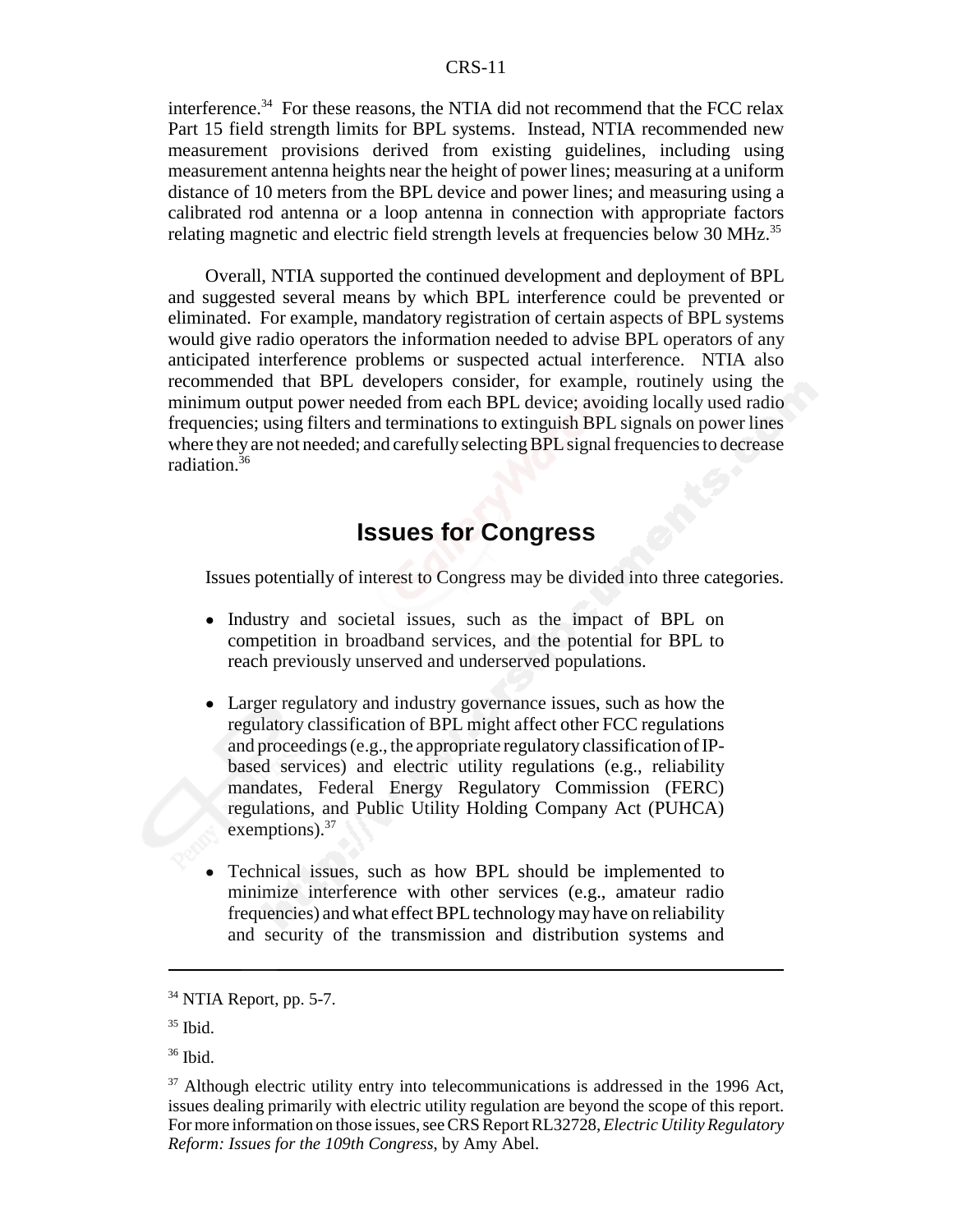#### CRS-11

interference.<sup>34</sup> For these reasons, the NTIA did not recommend that the FCC relax Part 15 field strength limits for BPL systems. Instead, NTIA recommended new measurement provisions derived from existing guidelines, including using measurement antenna heights near the height of power lines; measuring at a uniform distance of 10 meters from the BPL device and power lines; and measuring using a calibrated rod antenna or a loop antenna in connection with appropriate factors relating magnetic and electric field strength levels at frequencies below 30 MHz.<sup>35</sup>

Overall, NTIA supported the continued development and deployment of BPL and suggested several means by which BPL interference could be prevented or eliminated. For example, mandatory registration of certain aspects of BPL systems would give radio operators the information needed to advise BPL operators of any anticipated interference problems or suspected actual interference. NTIA also recommended that BPL developers consider, for example, routinely using the minimum output power needed from each BPL device; avoiding locally used radio frequencies; using filters and terminations to extinguish BPL signals on power lines where they are not needed; and carefully selecting BPL signal frequencies to decrease radiation.36

# **Issues for Congress**

Issues potentially of interest to Congress may be divided into three categories.

- Industry and societal issues, such as the impact of BPL on competition in broadband services, and the potential for BPL to reach previously unserved and underserved populations.
- Larger regulatory and industry governance issues, such as how the regulatory classification of BPL might affect other FCC regulations and proceedings (e.g., the appropriate regulatory classification of IPbased services) and electric utility regulations (e.g., reliability mandates, Federal Energy Regulatory Commission (FERC) regulations, and Public Utility Holding Company Act (PUHCA) exemptions).<sup>37</sup>
- ! Technical issues, such as how BPL should be implemented to minimize interference with other services (e.g., amateur radio frequencies) and what effect BPL technology may have on reliability and security of the transmission and distribution systems and

<sup>&</sup>lt;sup>34</sup> NTIA Report, pp. 5-7.

<sup>&</sup>lt;sup>35</sup> Ibid.

 $36$  Ibid.

 $37$  Although electric utility entry into telecommunications is addressed in the 1996 Act, issues dealing primarily with electric utility regulation are beyond the scope of this report. For more information on those issues, see CRS Report RL32728, *Electric Utility Regulatory Reform: Issues for the 109th Congress*, by Amy Abel.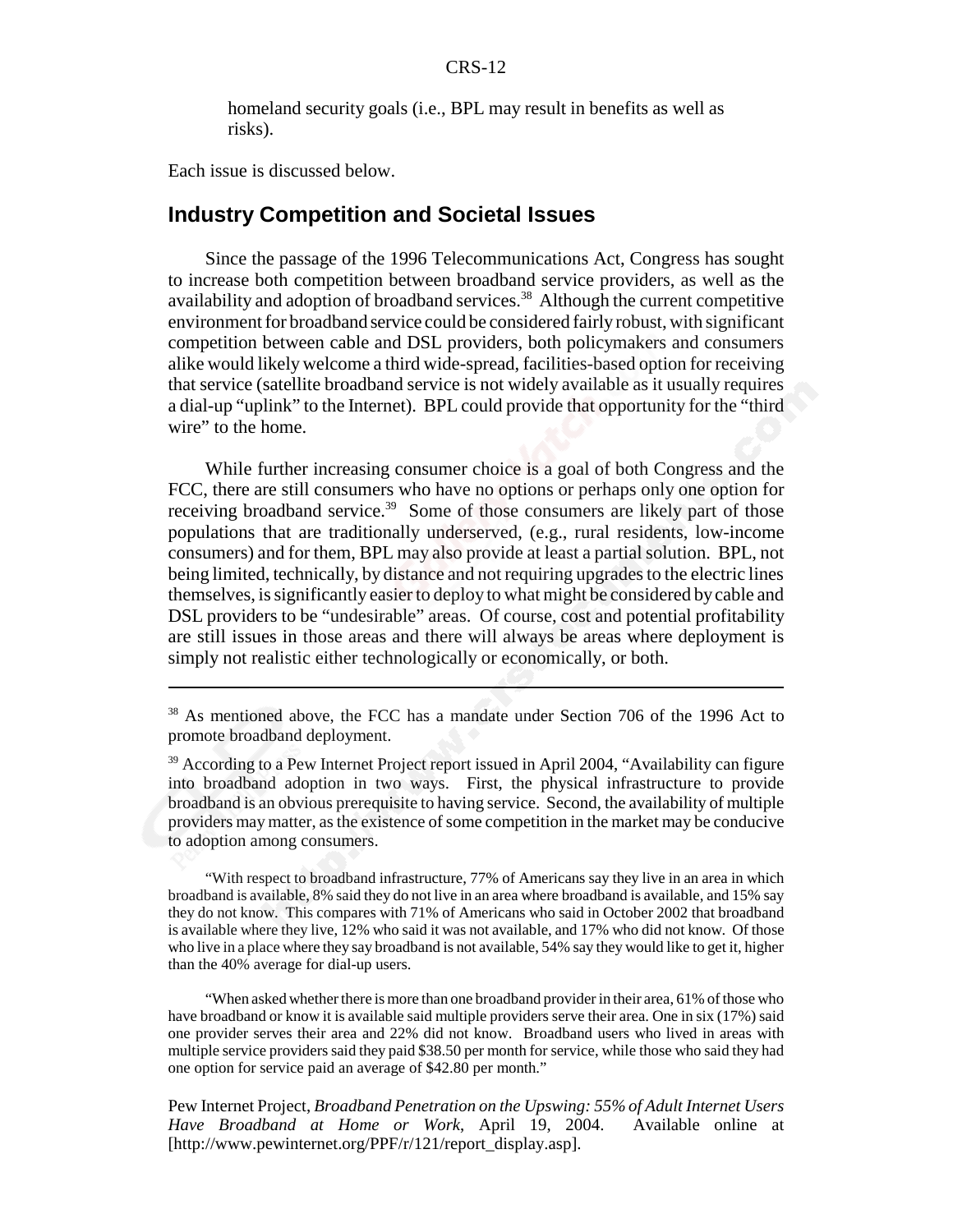homeland security goals (i.e., BPL may result in benefits as well as risks).

Each issue is discussed below.

#### **Industry Competition and Societal Issues**

Since the passage of the 1996 Telecommunications Act, Congress has sought to increase both competition between broadband service providers, as well as the availability and adoption of broadband services.<sup>38</sup> Although the current competitive environment for broadband service could be considered fairly robust, with significant competition between cable and DSL providers, both policymakers and consumers alike would likely welcome a third wide-spread, facilities-based option for receiving that service (satellite broadband service is not widely available as it usually requires a dial-up "uplink" to the Internet). BPL could provide that opportunity for the "third wire" to the home.

While further increasing consumer choice is a goal of both Congress and the FCC, there are still consumers who have no options or perhaps only one option for receiving broadband service.<sup>39</sup> Some of those consumers are likely part of those populations that are traditionally underserved, (e.g., rural residents, low-income consumers) and for them, BPL may also provide at least a partial solution. BPL, not being limited, technically, by distance and not requiring upgrades to the electric lines themselves, is significantly easier to deploy to what might be considered by cable and DSL providers to be "undesirable" areas. Of course, cost and potential profitability are still issues in those areas and there will always be areas where deployment is simply not realistic either technologically or economically, or both.

"With respect to broadband infrastructure, 77% of Americans say they live in an area in which broadband is available, 8% said they do not live in an area where broadband is available, and 15% say they do not know. This compares with 71% of Americans who said in October 2002 that broadband is available where they live, 12% who said it was not available, and 17% who did not know. Of those who live in a place where they say broadband is not available, 54% say they would like to get it, higher than the 40% average for dial-up users.

"When asked whether there is more than one broadband provider in their area, 61% of those who have broadband or know it is available said multiple providers serve their area. One in six (17%) said one provider serves their area and 22% did not know. Broadband users who lived in areas with multiple service providers said they paid \$38.50 per month for service, while those who said they had one option for service paid an average of \$42.80 per month."

Pew Internet Project, *Broadband Penetration on the Upswing: 55% of Adult Internet Users Have Broadband at Home or Work*, April 19, 2004. Available online at [http://www.pewinternet.org/PPF/r/121/report\_display.asp].

<sup>&</sup>lt;sup>38</sup> As mentioned above, the FCC has a mandate under Section 706 of the 1996 Act to promote broadband deployment.

<sup>&</sup>lt;sup>39</sup> According to a Pew Internet Project report issued in April 2004, "Availability can figure into broadband adoption in two ways. First, the physical infrastructure to provide broadband is an obvious prerequisite to having service. Second, the availability of multiple providers may matter, as the existence of some competition in the market may be conducive to adoption among consumers.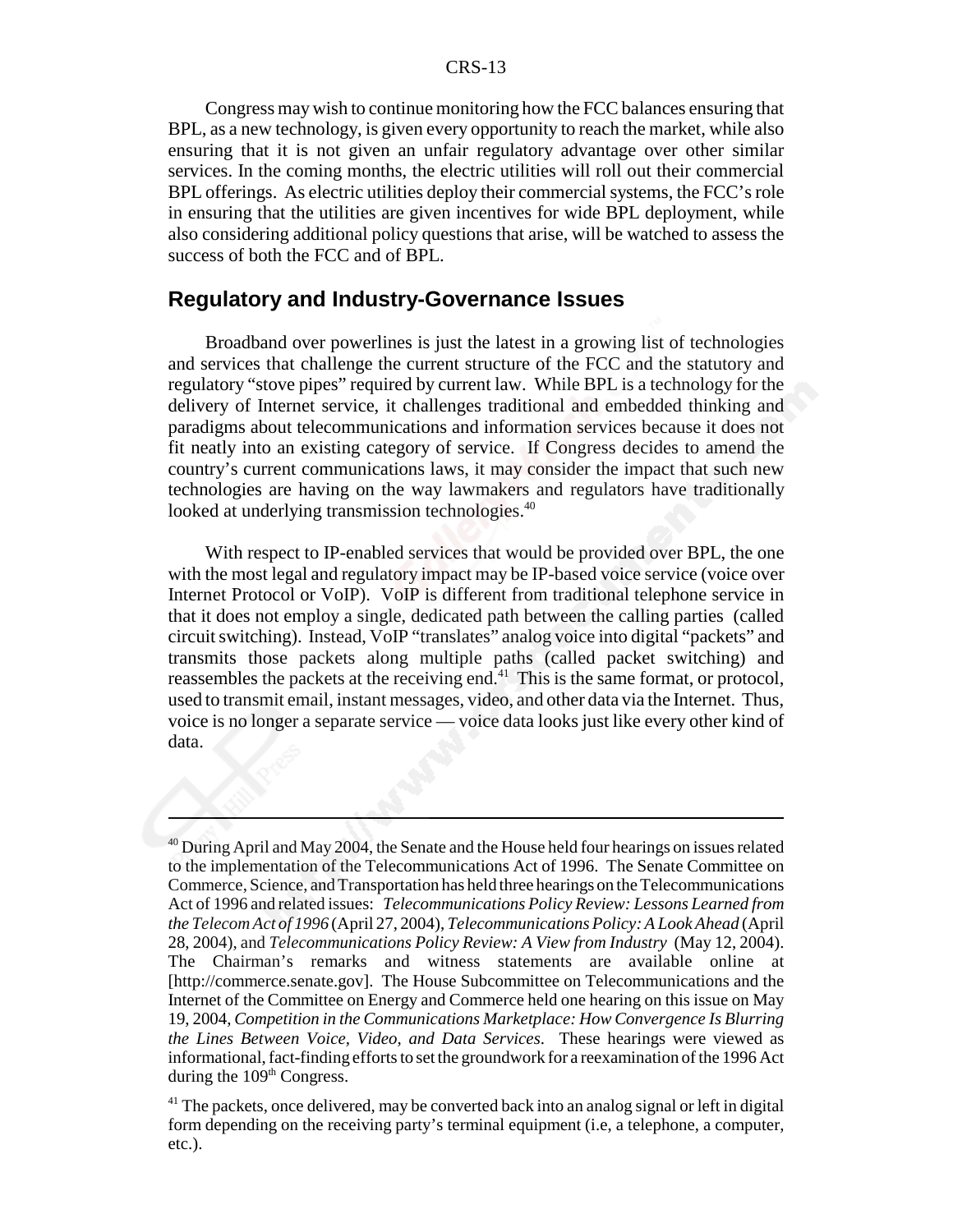#### CRS-13

Congress may wish to continue monitoring how the FCC balances ensuring that BPL, as a new technology, is given every opportunity to reach the market, while also ensuring that it is not given an unfair regulatory advantage over other similar services. In the coming months, the electric utilities will roll out their commercial BPL offerings. As electric utilities deploy their commercial systems, the FCC's role in ensuring that the utilities are given incentives for wide BPL deployment, while also considering additional policy questions that arise, will be watched to assess the success of both the FCC and of BPL.

#### **Regulatory and Industry-Governance Issues**

Broadband over powerlines is just the latest in a growing list of technologies and services that challenge the current structure of the FCC and the statutory and regulatory "stove pipes" required by current law. While BPL is a technology for the delivery of Internet service, it challenges traditional and embedded thinking and paradigms about telecommunications and information services because it does not fit neatly into an existing category of service. If Congress decides to amend the country's current communications laws, it may consider the impact that such new technologies are having on the way lawmakers and regulators have traditionally looked at underlying transmission technologies.<sup>40</sup>

With respect to IP-enabled services that would be provided over BPL, the one with the most legal and regulatory impact may be IP-based voice service (voice over Internet Protocol or VoIP). VoIP is different from traditional telephone service in that it does not employ a single, dedicated path between the calling parties (called circuit switching). Instead, VoIP "translates" analog voice into digital "packets" and transmits those packets along multiple paths (called packet switching) and reassembles the packets at the receiving end.<sup>41</sup> This is the same format, or protocol, used to transmit email, instant messages, video, and other data via the Internet. Thus, voice is no longer a separate service — voice data looks just like every other kind of data.

<sup>&</sup>lt;sup>40</sup> During April and May 2004, the Senate and the House held four hearings on issues related to the implementation of the Telecommunications Act of 1996. The Senate Committee on Commerce, Science, and Transportation has held three hearings on the Telecommunications Act of 1996 and related issues: *Telecommunications Policy Review: Lessons Learned from the Telecom Act of 1996* (April 27, 2004), *Telecommunications Policy: A Look Ahead* (April 28, 2004), and *Telecommunications Policy Review: A View from Industry* (May 12, 2004). The Chairman's remarks and witness statements are available online at [http://commerce.senate.gov]. The House Subcommittee on Telecommunications and the Internet of the Committee on Energy and Commerce held one hearing on this issue on May 19, 2004, *Competition in the Communications Marketplace: How Convergence Is Blurring the Lines Between Voice, Video, and Data Services*. These hearings were viewed as informational, fact-finding efforts to set the groundwork for a reexamination of the 1996 Act during the 109<sup>th</sup> Congress.

 $41$  The packets, once delivered, may be converted back into an analog signal or left in digital form depending on the receiving party's terminal equipment (i.e, a telephone, a computer, etc.).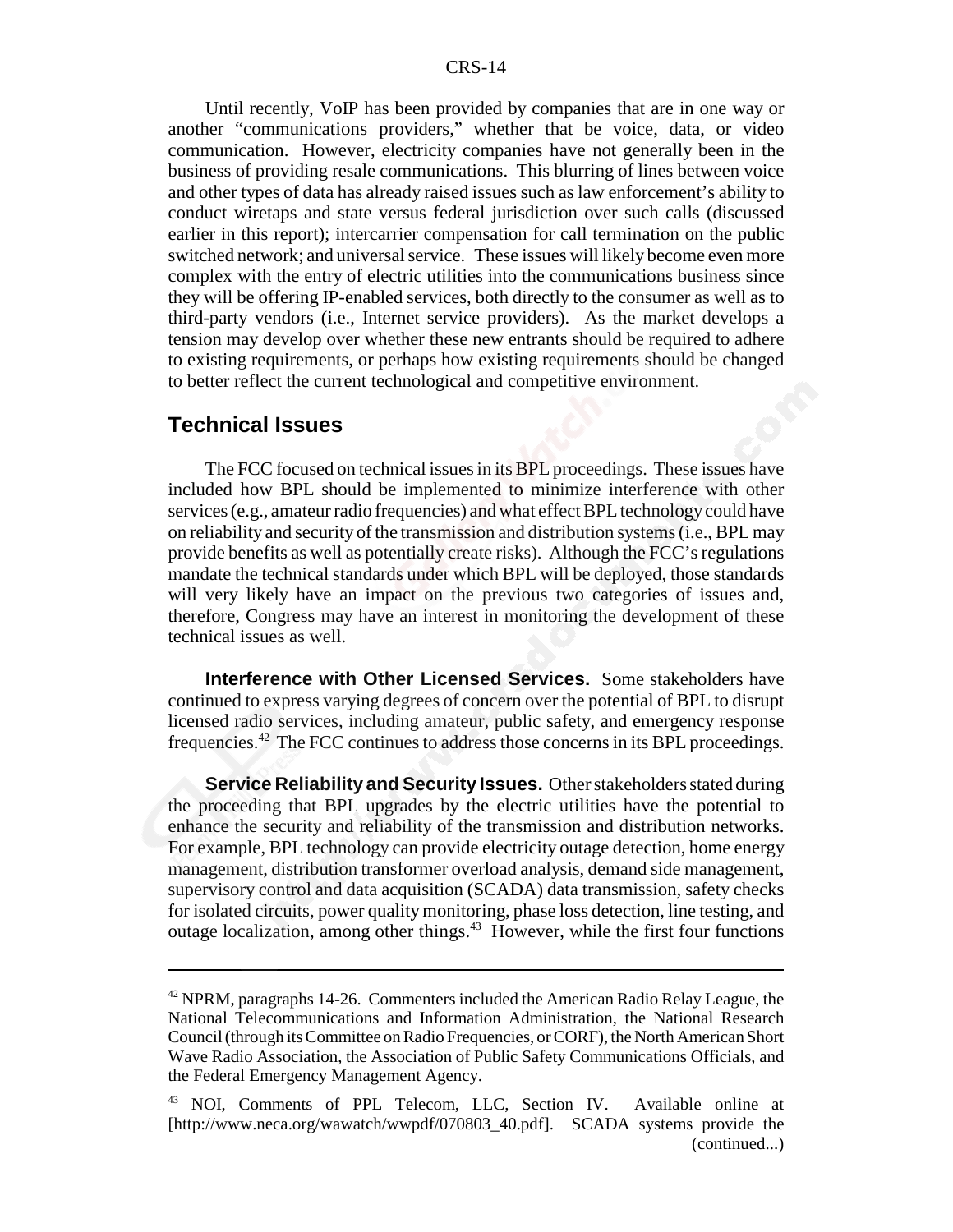#### CRS-14

Until recently, VoIP has been provided by companies that are in one way or another "communications providers," whether that be voice, data, or video communication. However, electricity companies have not generally been in the business of providing resale communications. This blurring of lines between voice and other types of data has already raised issues such as law enforcement's ability to conduct wiretaps and state versus federal jurisdiction over such calls (discussed earlier in this report); intercarrier compensation for call termination on the public switched network; and universal service. These issues will likely become even more complex with the entry of electric utilities into the communications business since they will be offering IP-enabled services, both directly to the consumer as well as to third-party vendors (i.e., Internet service providers). As the market develops a tension may develop over whether these new entrants should be required to adhere to existing requirements, or perhaps how existing requirements should be changed to better reflect the current technological and competitive environment.

#### **Technical Issues**

The FCC focused on technical issues in its BPL proceedings. These issues have included how BPL should be implemented to minimize interference with other services (e.g., amateur radio frequencies) and what effect BPL technology could have on reliability and security of the transmission and distribution systems (i.e., BPL may provide benefits as well as potentially create risks). Although the FCC's regulations mandate the technical standards under which BPL will be deployed, those standards will very likely have an impact on the previous two categories of issues and, therefore, Congress may have an interest in monitoring the development of these technical issues as well.

**Interference with Other Licensed Services.** Some stakeholders have continued to express varying degrees of concern over the potential of BPL to disrupt licensed radio services, including amateur, public safety, and emergency response frequencies.42 The FCC continues to address those concerns in its BPL proceedings.

**Service Reliability and Security Issues.** Other stakeholders stated during the proceeding that BPL upgrades by the electric utilities have the potential to enhance the security and reliability of the transmission and distribution networks. For example, BPL technology can provide electricity outage detection, home energy management, distribution transformer overload analysis, demand side management, supervisory control and data acquisition (SCADA) data transmission, safety checks for isolated circuits, power quality monitoring, phase loss detection, line testing, and outage localization, among other things.43 However, while the first four functions

<sup>42</sup> NPRM, paragraphs 14-26. Commenters included the American Radio Relay League, the National Telecommunications and Information Administration, the National Research Council (through its Committee on Radio Frequencies, or CORF), the North American Short Wave Radio Association, the Association of Public Safety Communications Officials, and the Federal Emergency Management Agency.

<sup>&</sup>lt;sup>43</sup> NOI, Comments of PPL Telecom, LLC, Section IV. Available online at [http://www.neca.org/wawatch/wwpdf/070803\_40.pdf]. SCADA systems provide the (continued...)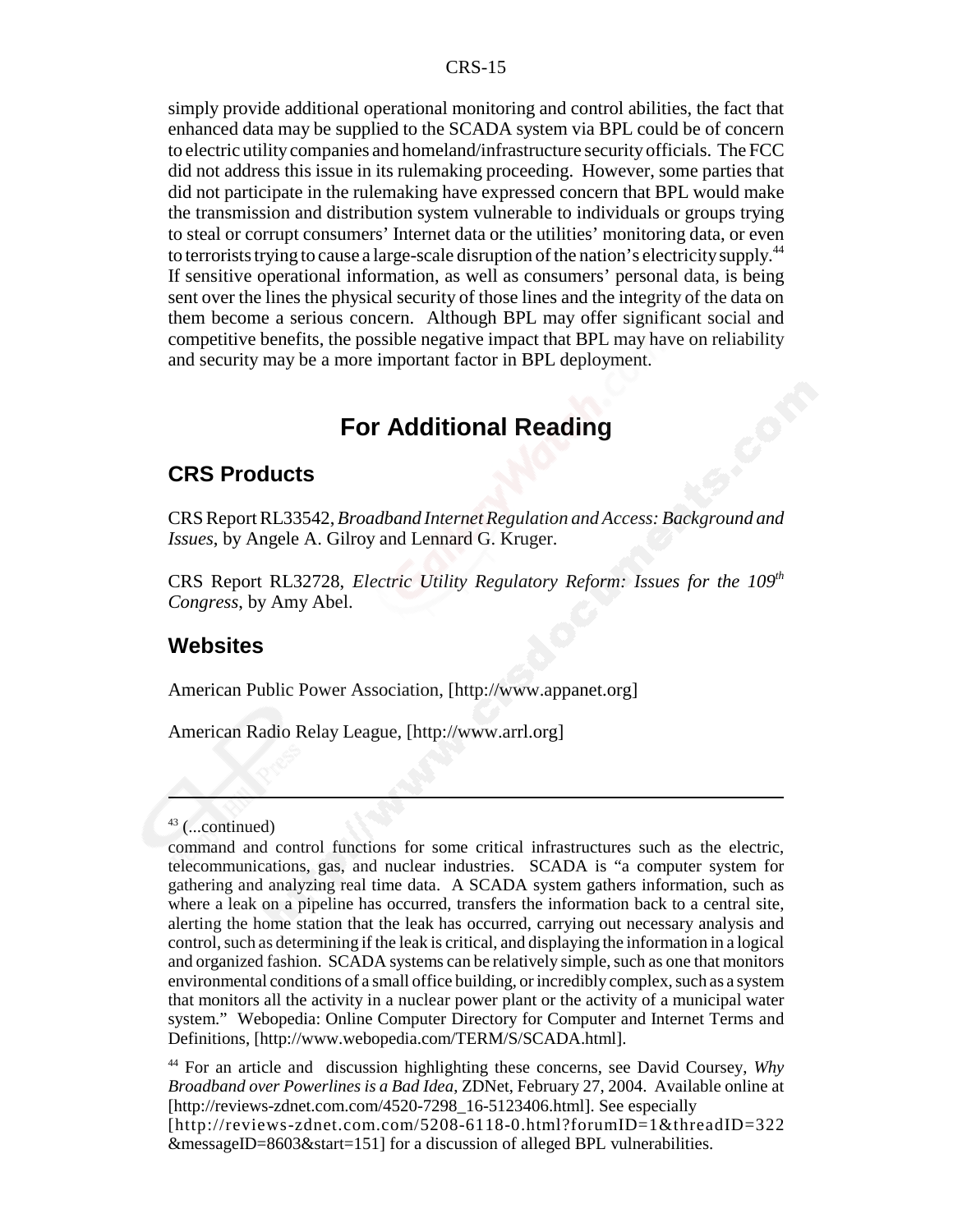simply provide additional operational monitoring and control abilities, the fact that enhanced data may be supplied to the SCADA system via BPL could be of concern to electric utility companies and homeland/infrastructure security officials. The FCC did not address this issue in its rulemaking proceeding. However, some parties that did not participate in the rulemaking have expressed concern that BPL would make the transmission and distribution system vulnerable to individuals or groups trying to steal or corrupt consumers' Internet data or the utilities' monitoring data, or even to terrorists trying to cause a large-scale disruption of the nation's electricity supply.<sup>44</sup> If sensitive operational information, as well as consumers' personal data, is being sent over the lines the physical security of those lines and the integrity of the data on them become a serious concern. Although BPL may offer significant social and competitive benefits, the possible negative impact that BPL may have on reliability and security may be a more important factor in BPL deployment.

# **For Additional Reading**

#### **CRS Products**

CRS Report RL33542, *Broadband Internet Regulation and Access: Background and Issues*, by Angele A. Gilroy and Lennard G. Kruger.

CRS Report RL32728, *Electric Utility Regulatory Reform: Issues for the 109th Congress*, by Amy Abel.

#### **Websites**

American Public Power Association, [http://www.appanet.org]

American Radio Relay League, [http://www.arrl.org]

#### $43$  (...continued)

44 For an article and discussion highlighting these concerns, see David Coursey, *Why Broadband over Powerlines is a Bad Idea*, ZDNet, February 27, 2004. Available online at [http://reviews-zdnet.com.com/4520-7298\_16-5123406.html]. See especially [http://reviews-zdnet.com.com/5208-6118-0.html?forumID=1&threadID=322 &messageID=8603&start=151] for a discussion of alleged BPL vulnerabilities.

command and control functions for some critical infrastructures such as the electric, telecommunications, gas, and nuclear industries. SCADA is "a computer system for gathering and analyzing real time data. A SCADA system gathers information, such as where a leak on a pipeline has occurred, transfers the information back to a central site, alerting the home station that the leak has occurred, carrying out necessary analysis and control, such as determining if the leak is critical, and displaying the information in a logical and organized fashion. SCADA systems can be relatively simple, such as one that monitors environmental conditions of a small office building, or incredibly complex, such as a system that monitors all the activity in a nuclear power plant or the activity of a municipal water system." Webopedia: Online Computer Directory for Computer and Internet Terms and Definitions, [http://www.webopedia.com/TERM/S/SCADA.html].